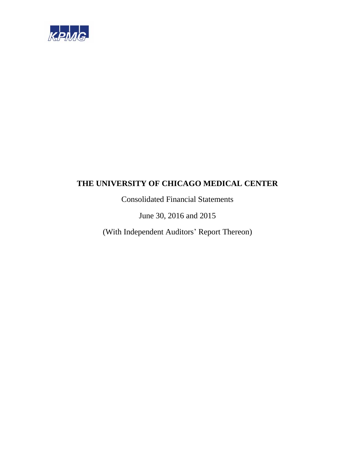

Consolidated Financial Statements

June 30, 2016 and 2015

(With Independent Auditors' Report Thereon)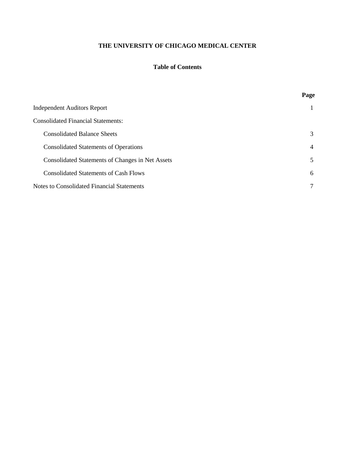## **Table of Contents**

|                                                  | Page |
|--------------------------------------------------|------|
| <b>Independent Auditors Report</b>               |      |
| <b>Consolidated Financial Statements:</b>        |      |
| <b>Consolidated Balance Sheets</b>               | 3    |
| <b>Consolidated Statements of Operations</b>     | 4    |
| Consolidated Statements of Changes in Net Assets | 5    |
| <b>Consolidated Statements of Cash Flows</b>     | 6    |
| Notes to Consolidated Financial Statements       | 7    |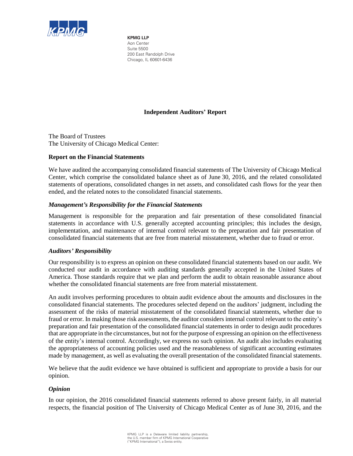

**KPMG LLP** Aon Center Suite 5500 200 East Randolph Drive Chicago, IL 60601-6436

## **Independent Auditors' Report**

The Board of Trustees The University of Chicago Medical Center:

## **Report on the Financial Statements**

We have audited the accompanying consolidated financial statements of The University of Chicago Medical Center, which comprise the consolidated balance sheet as of June 30, 2016, and the related consolidated statements of operations, consolidated changes in net assets, and consolidated cash flows for the year then ended, and the related notes to the consolidated financial statements.

### *Management's Responsibility for the Financial Statements*

Management is responsible for the preparation and fair presentation of these consolidated financial statements in accordance with U.S. generally accepted accounting principles; this includes the design, implementation, and maintenance of internal control relevant to the preparation and fair presentation of consolidated financial statements that are free from material misstatement, whether due to fraud or error.

#### *Auditors' Responsibility*

Our responsibility is to express an opinion on these consolidated financial statements based on our audit. We conducted our audit in accordance with auditing standards generally accepted in the United States of America. Those standards require that we plan and perform the audit to obtain reasonable assurance about whether the consolidated financial statements are free from material misstatement.

An audit involves performing procedures to obtain audit evidence about the amounts and disclosures in the consolidated financial statements. The procedures selected depend on the auditors' judgment, including the assessment of the risks of material misstatement of the consolidated financial statements, whether due to fraud or error. In making those risk assessments, the auditor considers internal control relevant to the entity's preparation and fair presentation of the consolidated financial statements in order to design audit procedures that are appropriate in the circumstances, but not for the purpose of expressing an opinion on the effectiveness of the entity's internal control. Accordingly, we express no such opinion. An audit also includes evaluating the appropriateness of accounting policies used and the reasonableness of significant accounting estimates made by management, as well as evaluating the overall presentation of the consolidated financial statements.

We believe that the audit evidence we have obtained is sufficient and appropriate to provide a basis for our opinion.

#### *Opinion*

In our opinion, the 2016 consolidated financial statements referred to above present fairly, in all material respects, the financial position of The University of Chicago Medical Center as of June 30, 2016, and the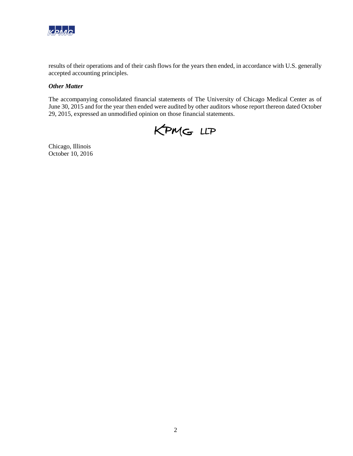

results of their operations and of their cash flows for the years then ended, in accordance with U.S. generally accepted accounting principles.

## *Other Matter*

The accompanying consolidated financial statements of The University of Chicago Medical Center as of June 30, 2015 and for the year then ended were audited by other auditors whose report thereon dated October 29, 2015, expressed an unmodified opinion on those financial statements.

KPMG LLP

Chicago, Illinois October 10, 2016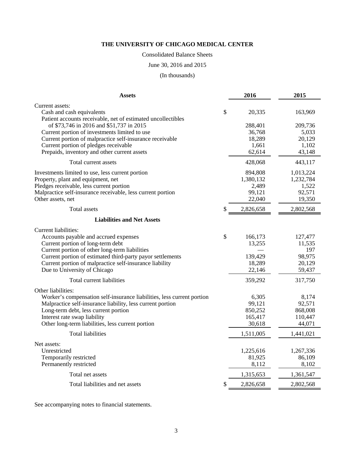## Consolidated Balance Sheets

## June 30, 2016 and 2015

(In thousands)

| <b>Assets</b>                                                                                                                                                                                                                                                                                                 |              | 2016                                              | 2015                                                   |
|---------------------------------------------------------------------------------------------------------------------------------------------------------------------------------------------------------------------------------------------------------------------------------------------------------------|--------------|---------------------------------------------------|--------------------------------------------------------|
| Current assets:<br>Cash and cash equivalents<br>Patient accounts receivable, net of estimated uncollectibles                                                                                                                                                                                                  | \$           | 20,335                                            | 163,969                                                |
| of \$73,746 in 2016 and \$51,737 in 2015<br>Current portion of investments limited to use<br>Current portion of malpractice self-insurance receivable<br>Current portion of pledges receivable<br>Prepaids, inventory and other current assets                                                                |              | 288,401<br>36,768<br>18,289<br>1,661<br>62,614    | 209,736<br>5,033<br>20,129<br>1,102<br>43,148          |
| Total current assets                                                                                                                                                                                                                                                                                          |              | 428,068                                           | 443,117                                                |
| Investments limited to use, less current portion<br>Property, plant and equipment, net<br>Pledges receivable, less current portion<br>Malpractice self-insurance receivable, less current portion<br>Other assets, net                                                                                        |              | 894,808<br>1,380,132<br>2,489<br>99,121<br>22,040 | 1,013,224<br>1,232,784<br>1,522<br>92,571<br>19,350    |
| <b>Total assets</b>                                                                                                                                                                                                                                                                                           | \$           | 2,826,658                                         | 2,802,568                                              |
| <b>Liabilities and Net Assets</b>                                                                                                                                                                                                                                                                             |              |                                                   |                                                        |
| Current liabilities:<br>Accounts payable and accrued expenses<br>Current portion of long-term debt<br>Current portion of other long-term liabilities<br>Current portion of estimated third-party payor settlements<br>Current portion of malpractice self-insurance liability<br>Due to University of Chicago | $\mathbb{S}$ | 166,173<br>13,255<br>139,429<br>18,289<br>22,146  | 127,477<br>11,535<br>197<br>98,975<br>20,129<br>59,437 |
| Total current liabilities                                                                                                                                                                                                                                                                                     |              | 359,292                                           | 317,750                                                |
| Other liabilities:<br>Worker's compensation self-insurance liabilities, less current portion<br>Malpractice self-insurance liability, less current portion<br>Long-term debt, less current portion<br>Interest rate swap liability<br>Other long-term liabilities, less current portion                       |              | 6,305<br>99,121<br>850,252<br>165,417<br>30,618   | 8,174<br>92,571<br>868,008<br>110,447<br>44,071        |
| <b>Total liabilities</b>                                                                                                                                                                                                                                                                                      |              | 1,511,005                                         | 1,441,021                                              |
| Net assets:<br>Unrestricted<br>Temporarily restricted<br>Permanently restricted                                                                                                                                                                                                                               |              | 1,225,616<br>81,925<br>8,112                      | 1,267,336<br>86,109<br>8,102                           |
| Total net assets                                                                                                                                                                                                                                                                                              |              | 1,315,653                                         | 1,361,547                                              |
| Total liabilities and net assets                                                                                                                                                                                                                                                                              | \$           | 2,826,658                                         | 2,802,568                                              |

See accompanying notes to financial statements.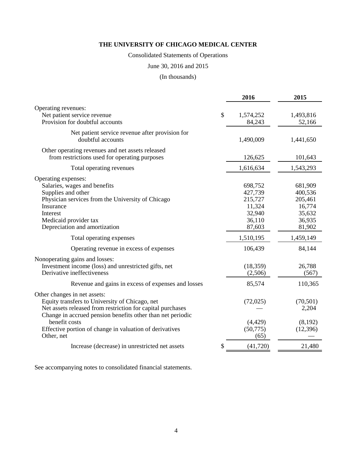Consolidated Statements of Operations

## June 30, 2016 and 2015

## (In thousands)

|                                                                                                                                                                                                                                                                                                                                                                                                                  | 2016                                                                                                                  | 2015                                                                                                            |
|------------------------------------------------------------------------------------------------------------------------------------------------------------------------------------------------------------------------------------------------------------------------------------------------------------------------------------------------------------------------------------------------------------------|-----------------------------------------------------------------------------------------------------------------------|-----------------------------------------------------------------------------------------------------------------|
| Operating revenues:<br>Net patient service revenue<br>Provision for doubtful accounts                                                                                                                                                                                                                                                                                                                            | \$<br>1,574,252<br>84,243                                                                                             | 1,493,816<br>52,166                                                                                             |
| Net patient service revenue after provision for<br>doubtful accounts                                                                                                                                                                                                                                                                                                                                             | 1,490,009                                                                                                             | 1,441,650                                                                                                       |
| Other operating revenues and net assets released<br>from restrictions used for operating purposes                                                                                                                                                                                                                                                                                                                | 126,625                                                                                                               | 101,643                                                                                                         |
| Total operating revenues                                                                                                                                                                                                                                                                                                                                                                                         | 1,616,634                                                                                                             | 1,543,293                                                                                                       |
| Operating expenses:<br>Salaries, wages and benefits<br>Supplies and other<br>Physician services from the University of Chicago<br>Insurance<br>Interest<br>Medicaid provider tax<br>Depreciation and amortization<br>Total operating expenses<br>Operating revenue in excess of expenses<br>Nonoperating gains and losses:<br>Investment income (loss) and unrestricted gifts, net<br>Derivative ineffectiveness | 698,752<br>427,739<br>215,727<br>11,324<br>32,940<br>36,110<br>87,603<br>1,510,195<br>106,439<br>(18, 359)<br>(2,506) | 681,909<br>400,536<br>205,461<br>16,774<br>35,632<br>36,935<br>81,902<br>1,459,149<br>84,144<br>26,788<br>(567) |
| Revenue and gains in excess of expenses and losses                                                                                                                                                                                                                                                                                                                                                               | 85,574                                                                                                                | 110,365                                                                                                         |
| Other changes in net assets:<br>Equity transfers to University of Chicago, net<br>Net assets released from restriction for capital purchases<br>Change in accrued pension benefits other than net periodic<br>benefit costs<br>Effective portion of change in valuation of derivatives<br>Other, net                                                                                                             | (72, 025)<br>(4, 429)<br>(50,775)<br>(65)                                                                             | (70, 501)<br>2,204<br>(8,192)<br>(12, 396)                                                                      |
| Increase (decrease) in unrestricted net assets                                                                                                                                                                                                                                                                                                                                                                   | \$<br>(41, 720)                                                                                                       | 21,480                                                                                                          |

See accompanying notes to consolidated financial statements.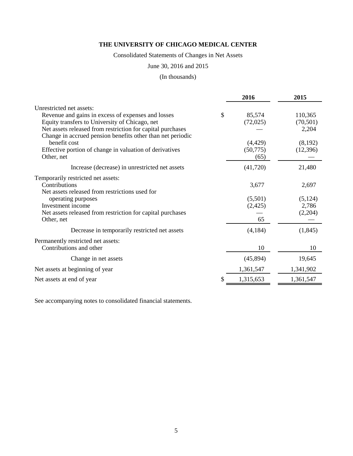## Consolidated Statements of Changes in Net Assets

## June 30, 2016 and 2015

## (In thousands)

|                                                            | 2016         | 2015      |
|------------------------------------------------------------|--------------|-----------|
| Unrestricted net assets:                                   |              |           |
| Revenue and gains in excess of expenses and losses         | \$<br>85,574 | 110,365   |
| Equity transfers to University of Chicago, net             | (72,025)     | (70, 501) |
| Net assets released from restriction for capital purchases |              | 2,204     |
| Change in accrued pension benefits other than net periodic |              |           |
| benefit cost                                               | (4,429)      | (8,192)   |
| Effective portion of change in valuation of derivatives    | (50,775)     | (12, 396) |
| Other, net                                                 | (65)         |           |
| Increase (decrease) in unrestricted net assets             | (41,720)     | 21,480    |
| Temporarily restricted net assets:                         |              |           |
| Contributions                                              | 3,677        | 2,697     |
| Net assets released from restrictions used for             |              |           |
| operating purposes                                         | (5,501)      | (5, 124)  |
| Investment income                                          | (2,425)      | 2,786     |
| Net assets released from restriction for capital purchases |              | (2,204)   |
| Other, net                                                 | 65           |           |
| Decrease in temporarily restricted net assets              | (4,184)      | (1, 845)  |
| Permanently restricted net assets:                         |              |           |
| Contributions and other                                    | 10           | 10        |
| Change in net assets                                       | (45,894)     | 19,645    |
| Net assets at beginning of year                            | 1,361,547    | 1,341,902 |
| Net assets at end of year                                  | 1,315,653    | 1,361,547 |

See accompanying notes to consolidated financial statements.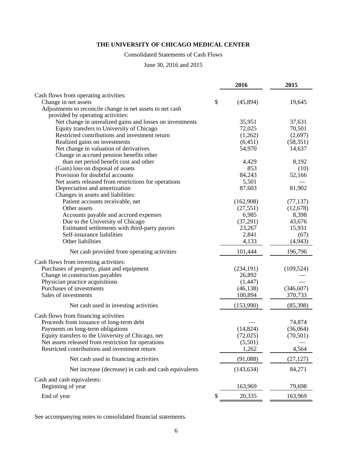## Consolidated Statements of Cash Flows

June 30, 2016 and 2015

|                                                           | 2016       | 2015       |
|-----------------------------------------------------------|------------|------------|
| Cash flows from operating activities:                     |            |            |
| \$<br>Change in net assets                                | (45,894)   | 19,645     |
| Adjustments to reconcile change in net assets to net cash |            |            |
| provided by operating activities:                         |            |            |
| Net change in unrealized gains and losses on investments  | 35,951     | 37,631     |
| Equity transfers to University of Chicago                 | 72,025     | 70,501     |
| Restricted contributions and investment return            | (1,262)    | (2,697)    |
| Realized gains on investments                             | (6, 451)   | (58, 351)  |
| Net change in valuation of derivatives                    | 54,970     | 14,637     |
| Change in accrued pension benefits other                  |            |            |
| than net period benefit cost and other                    | 4,429      | 8,192      |
| (Gain) loss on disposal of assets                         | 853        | (10)       |
| Provision for doubtful accounts                           | 84,243     | 52,166     |
| Net assets released from restrictions for operations      | 5,501      |            |
| Depreciation and amortization                             | 87,603     | 81,902     |
| Changes in assets and liabilities:                        |            |            |
| Patient accounts receivable, net                          | (162,908)  | (77, 137)  |
| Other assets                                              | (27, 551)  | (12, 678)  |
| Accounts payable and accrued expenses                     | 6,985      | 8,398      |
| Due to the University of Chicago                          | (37,291)   | 43,676     |
| Estimated settlements with third-party payors             | 23,267     | 15,931     |
| Self-insurance liabilities                                | 2,841      | (67)       |
| Other liabilities                                         | 4,133      | (4, 943)   |
| Net cash provided from operating activities               | 101,444    | 196,796    |
| Cash flows from investing activities:                     |            |            |
| Purchases of property, plant and equipment                | (234, 191) | (109, 524) |
| Change in construction payables                           | 26,892     |            |
| Physician practice acquisitions                           | (1, 447)   |            |
| Purchases of investments                                  | (46, 138)  | (346, 607) |
| Sales of investments                                      | 100,894    | 370,733    |
| Net cash used in investing activities                     | (153,990)  | (85,398)   |
| Cash flows from financing activities                      |            |            |
| Proceeds from issuance of long-term debt                  |            | 74,874     |
| Payments on long-term obligations                         | (14, 824)  | (36,064)   |
| Equity transfers to the University of Chicago, net        | (72,025)   | (70, 501)  |
| Net assets released from restriction for operations       | (5,501)    |            |
| Restricted contributions and investment return            | 1,262      | 4,564      |
| Net cash used in financing activities                     | (91,088)   | (27, 127)  |
|                                                           | (143, 634) | 84,271     |
| Net increase (decrease) in cash and cash equivalents      |            |            |
| Cash and cash equivalents:                                |            |            |
| Beginning of year                                         | 163,969    | 79,698     |
| \$<br>End of year                                         | 20,335     | 163,969    |

See accompanying notes to consolidated financial statements.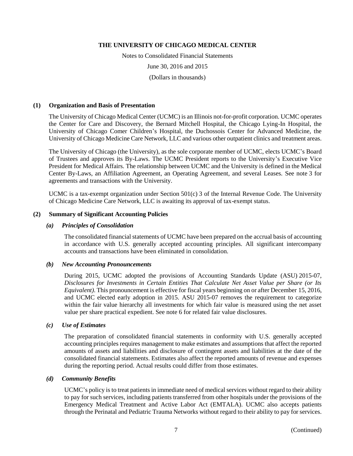Notes to Consolidated Financial Statements June 30, 2016 and 2015 (Dollars in thousands)

#### **(1) Organization and Basis of Presentation**

The University of Chicago Medical Center (UCMC) is an Illinois not-for-profit corporation. UCMC operates the Center for Care and Discovery, the Bernard Mitchell Hospital, the Chicago Lying-In Hospital, the University of Chicago Comer Children's Hospital, the Duchossois Center for Advanced Medicine, the University of Chicago Medicine Care Network, LLC and various other outpatient clinics and treatment areas.

The University of Chicago (the University), as the sole corporate member of UCMC, elects UCMC's Board of Trustees and approves its By-Laws. The UCMC President reports to the University's Executive Vice President for Medical Affairs. The relationship between UCMC and the University is defined in the Medical Center By-Laws, an Affiliation Agreement, an Operating Agreement, and several Leases. See note 3 for agreements and transactions with the University.

UCMC is a tax-exempt organization under Section 501(c) 3 of the Internal Revenue Code. The University of Chicago Medicine Care Network, LLC is awaiting its approval of tax-exempt status.

#### **(2) Summary of Significant Accounting Policies**

#### *(a) Principles of Consolidation*

The consolidated financial statements of UCMC have been prepared on the accrual basis of accounting in accordance with U.S. generally accepted accounting principles. All significant intercompany accounts and transactions have been eliminated in consolidation.

#### *(b) New Accounting Pronouncements*

During 2015, UCMC adopted the provisions of Accounting Standards Update (ASU) 2015-07, *Disclosures for Investments in Certain Entities That Calculate Net Asset Value per Share (or Its Equivalent)*. This pronouncement is effective for fiscal years beginning on or after December 15, 2016, and UCMC elected early adoption in 2015. ASU 2015-07 removes the requirement to categorize within the fair value hierarchy all investments for which fair value is measured using the net asset value per share practical expedient. See note 6 for related fair value disclosures.

#### *(c) Use of Estimates*

The preparation of consolidated financial statements in conformity with U.S. generally accepted accounting principles requires management to make estimates and assumptions that affect the reported amounts of assets and liabilities and disclosure of contingent assets and liabilities at the date of the consolidated financial statements. Estimates also affect the reported amounts of revenue and expenses during the reporting period. Actual results could differ from those estimates.

#### *(d) Community Benefits*

UCMC's policy is to treat patients in immediate need of medical services without regard to their ability to pay for such services, including patients transferred from other hospitals under the provisions of the Emergency Medical Treatment and Active Labor Act (EMTALA). UCMC also accepts patients through the Perinatal and Pediatric Trauma Networks without regard to their ability to pay for services.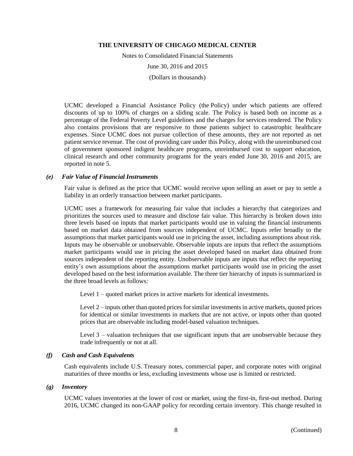Notes to Consolidated Financial Statements

June 30, 2016 and 2015

(Dollars in thousands)

UCMC developed a Financial Assistance Policy (the Policy) under which patients are offered discounts of up to 100% of charges on a sliding scale. The Policy is based both on income as a percentage of the Federal Poverty Level guidelines and the charges for services rendered. The Policy also contains provisions that are responsive to those patients subject to catastrophic healthcare expenses. Since UCMC does not pursue collection of these amounts, they are not reported as net patient service revenue. The cost of providing care under this Policy, along with the unreimbursed cost of government sponsored indigent healthcare programs, unreimbursed cost to support education, clinical research and other community programs for the years ended June 30, 2016 and 2015, are reported in note 5.

#### *(e) Fair Value of Financial Instruments*

Fair value is defined as the price that UCMC would receive upon selling an asset or pay to settle a liability in an orderly transaction between market participants.

UCMC uses a framework for measuring fair value that includes a hierarchy that categorizes and prioritizes the sources used to measure and disclose fair value. This hierarchy is broken down into three levels based on inputs that market participants would use in valuing the financial instruments based on market data obtained from sources independent of UCMC. Inputs refer broadly to the assumptions that market participants would use in pricing the asset, including assumptions about risk. Inputs may be observable or unobservable. Observable inputs are inputs that reflect the assumptions market participants would use in pricing the asset developed based on market data obtained from sources independent of the reporting entity. Unobservable inputs are inputs that reflect the reporting entity's own assumptions about the assumptions market participants would use in pricing the asset developed based on the best information available. The three tier hierarchy of inputs is summarized in the three broad levels as follows:

Level 1 – quoted market prices in active markets for identical investments.

Level 2 – inputs other than quoted prices for similar investments in active markets, quoted prices for identical or similar investments in markets that are not active, or inputs other than quoted prices that are observable including model-based valuation techniques.

Level 3 – valuation techniques that use significant inputs that are unobservable because they trade infrequently or not at all.

#### *(f) Cash and Cash Equivalents*

Cash equivalents include U.S. Treasury notes, commercial paper, and corporate notes with original maturities of three months or less, excluding investments whose use is limited or restricted.

#### *(g) Inventory*

UCMC values inventories at the lower of cost or market, using the first-in, first-out method. During 2016, UCMC changed its non-GAAP policy for recording certain inventory. This change resulted in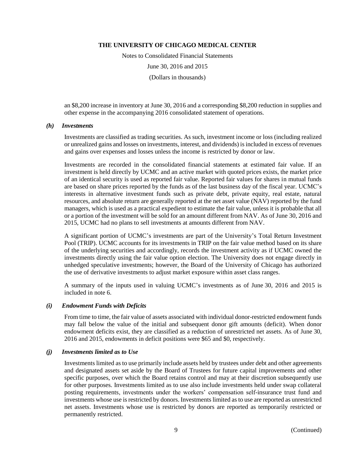Notes to Consolidated Financial Statements June 30, 2016 and 2015 (Dollars in thousands)

an \$8,200 increase in inventory at June 30, 2016 and a corresponding \$8,200 reduction in supplies and other expense in the accompanying 2016 consolidated statement of operations.

#### *(h) Investments*

Investments are classified as trading securities. As such, investment income or loss (including realized or unrealized gains and losses on investments, interest, and dividends) is included in excess of revenues and gains over expenses and losses unless the income is restricted by donor or law.

Investments are recorded in the consolidated financial statements at estimated fair value. If an investment is held directly by UCMC and an active market with quoted prices exists, the market price of an identical security is used as reported fair value. Reported fair values for shares in mutual funds are based on share prices reported by the funds as of the last business day of the fiscal year. UCMC's interests in alternative investment funds such as private debt, private equity, real estate, natural resources, and absolute return are generally reported at the net asset value (NAV) reported by the fund managers, which is used as a practical expedient to estimate the fair value, unless it is probable that all or a portion of the investment will be sold for an amount different from NAV. As of June 30, 2016 and 2015, UCMC had no plans to sell investments at amounts different from NAV.

A significant portion of UCMC's investments are part of the University's Total Return Investment Pool (TRIP). UCMC accounts for its investments in TRIP on the fair value method based on its share of the underlying securities and accordingly, records the investment activity as if UCMC owned the investments directly using the fair value option election. The University does not engage directly in unhedged speculative investments; however, the Board of the University of Chicago has authorized the use of derivative investments to adjust market exposure within asset class ranges.

A summary of the inputs used in valuing UCMC's investments as of June 30, 2016 and 2015 is included in note 6.

#### *(i) Endowment Funds with Deficits*

From time to time, the fair value of assets associated with individual donor-restricted endowment funds may fall below the value of the initial and subsequent donor gift amounts (deficit). When donor endowment deficits exist, they are classified as a reduction of unrestricted net assets. As of June 30, 2016 and 2015, endowments in deficit positions were \$65 and \$0, respectively.

#### *(j) Investments limited as to Use*

Investments limited as to use primarily include assets held by trustees under debt and other agreements and designated assets set aside by the Board of Trustees for future capital improvements and other specific purposes, over which the Board retains control and may at their discretion subsequently use for other purposes. Investments limited as to use also include investments held under swap collateral posting requirements, investments under the workers' compensation self-insurance trust fund and investments whose use is restricted by donors. Investments limited as to use are reported as unrestricted net assets. Investments whose use is restricted by donors are reported as temporarily restricted or permanently restricted.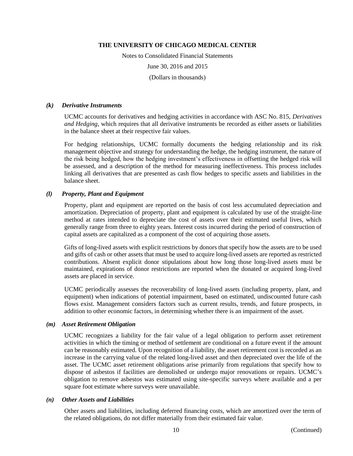Notes to Consolidated Financial Statements June 30, 2016 and 2015 (Dollars in thousands)

#### *(k) Derivative Instruments*

UCMC accounts for derivatives and hedging activities in accordance with ASC No. 815, *Derivatives and Hedging*, which requires that all derivative instruments be recorded as either assets or liabilities in the balance sheet at their respective fair values.

For hedging relationships, UCMC formally documents the hedging relationship and its risk management objective and strategy for understanding the hedge, the hedging instrument, the nature of the risk being hedged, how the hedging investment's effectiveness in offsetting the hedged risk will be assessed, and a description of the method for measuring ineffectiveness. This process includes linking all derivatives that are presented as cash flow hedges to specific assets and liabilities in the balance sheet.

#### *(l) Property, Plant and Equipment*

Property, plant and equipment are reported on the basis of cost less accumulated depreciation and amortization. Depreciation of property, plant and equipment is calculated by use of the straight-line method at rates intended to depreciate the cost of assets over their estimated useful lives, which generally range from three to eighty years. Interest costs incurred during the period of construction of capital assets are capitalized as a component of the cost of acquiring those assets.

Gifts of long-lived assets with explicit restrictions by donors that specify how the assets are to be used and gifts of cash or other assets that must be used to acquire long-lived assets are reported as restricted contributions. Absent explicit donor stipulations about how long those long-lived assets must be maintained, expirations of donor restrictions are reported when the donated or acquired long-lived assets are placed in service.

UCMC periodically assesses the recoverability of long-lived assets (including property, plant, and equipment) when indications of potential impairment, based on estimated, undiscounted future cash flows exist. Management considers factors such as current results, trends, and future prospects, in addition to other economic factors, in determining whether there is an impairment of the asset.

#### *(m) Asset Retirement Obligation*

UCMC recognizes a liability for the fair value of a legal obligation to perform asset retirement activities in which the timing or method of settlement are conditional on a future event if the amount can be reasonably estimated. Upon recognition of a liability, the asset retirement cost is recorded as an increase in the carrying value of the related long-lived asset and then depreciated over the life of the asset. The UCMC asset retirement obligations arise primarily from regulations that specify how to dispose of asbestos if facilities are demolished or undergo major renovations or repairs. UCMC's obligation to remove asbestos was estimated using site-specific surveys where available and a per square foot estimate where surveys were unavailable.

#### *(n) Other Assets and Liabilities*

Other assets and liabilities, including deferred financing costs, which are amortized over the term of the related obligations, do not differ materially from their estimated fair value.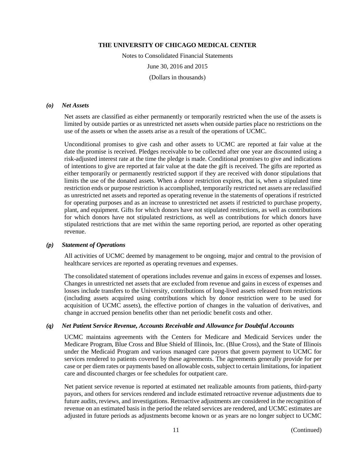Notes to Consolidated Financial Statements June 30, 2016 and 2015 (Dollars in thousands)

#### *(o) Net Assets*

Net assets are classified as either permanently or temporarily restricted when the use of the assets is limited by outside parties or as unrestricted net assets when outside parties place no restrictions on the use of the assets or when the assets arise as a result of the operations of UCMC.

Unconditional promises to give cash and other assets to UCMC are reported at fair value at the date the promise is received. Pledges receivable to be collected after one year are discounted using a risk-adjusted interest rate at the time the pledge is made. Conditional promises to give and indications of intentions to give are reported at fair value at the date the gift is received. The gifts are reported as either temporarily or permanently restricted support if they are received with donor stipulations that limits the use of the donated assets. When a donor restriction expires, that is, when a stipulated time restriction ends or purpose restriction is accomplished, temporarily restricted net assets are reclassified as unrestricted net assets and reported as operating revenue in the statements of operations if restricted for operating purposes and as an increase to unrestricted net assets if restricted to purchase property, plant, and equipment. Gifts for which donors have not stipulated restrictions, as well as contributions for which donors have not stipulated restrictions, as well as contributions for which donors have stipulated restrictions that are met within the same reporting period, are reported as other operating revenue.

#### *(p) Statement of Operations*

All activities of UCMC deemed by management to be ongoing, major and central to the provision of healthcare services are reported as operating revenues and expenses.

The consolidated statement of operations includes revenue and gains in excess of expenses and losses. Changes in unrestricted net assets that are excluded from revenue and gains in excess of expenses and losses include transfers to the University, contributions of long-lived assets released from restrictions (including assets acquired using contributions which by donor restriction were to be used for acquisition of UCMC assets), the effective portion of changes in the valuation of derivatives, and change in accrued pension benefits other than net periodic benefit costs and other.

#### *(q) Net Patient Service Revenue, Accounts Receivable and Allowance for Doubtful Accounts*

UCMC maintains agreements with the Centers for Medicare and Medicaid Services under the Medicare Program, Blue Cross and Blue Shield of Illinois, Inc. (Blue Cross), and the State of Illinois under the Medicaid Program and various managed care payors that govern payment to UCMC for services rendered to patients covered by these agreements. The agreements generally provide for per case or per diem rates or payments based on allowable costs, subject to certain limitations, for inpatient care and discounted charges or fee schedules for outpatient care.

Net patient service revenue is reported at estimated net realizable amounts from patients, third-party payors, and others for services rendered and include estimated retroactive revenue adjustments due to future audits, reviews, and investigations. Retroactive adjustments are considered in the recognition of revenue on an estimated basis in the period the related services are rendered, and UCMC estimates are adjusted in future periods as adjustments become known or as years are no longer subject to UCMC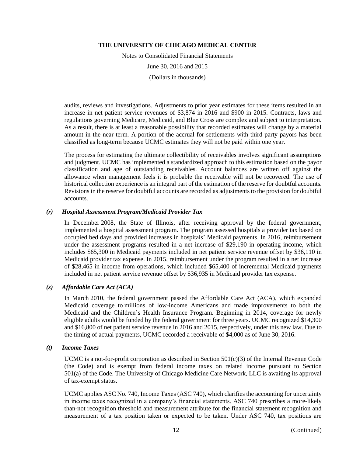Notes to Consolidated Financial Statements June 30, 2016 and 2015

(Dollars in thousands)

audits, reviews and investigations. Adjustments to prior year estimates for these items resulted in an increase in net patient service revenues of \$3,874 in 2016 and \$900 in 2015. Contracts, laws and regulations governing Medicare, Medicaid, and Blue Cross are complex and subject to interpretation. As a result, there is at least a reasonable possibility that recorded estimates will change by a material amount in the near term. A portion of the accrual for settlements with third-party payors has been classified as long-term because UCMC estimates they will not be paid within one year.

The process for estimating the ultimate collectibility of receivables involves significant assumptions and judgment. UCMC has implemented a standardized approach to this estimation based on the payor classification and age of outstanding receivables. Account balances are written off against the allowance when management feels it is probable the receivable will not be recovered. The use of historical collection experience is an integral part of the estimation of the reserve for doubtful accounts. Revisions in the reserve for doubtful accounts are recorded as adjustments to the provision for doubtful accounts.

### *(r) Hospital Assessment Program/Medicaid Provider Tax*

In December 2008, the State of Illinois, after receiving approval by the federal government, implemented a hospital assessment program. The program assessed hospitals a provider tax based on occupied bed days and provided increases in hospitals' Medicaid payments. In 2016, reimbursement under the assessment programs resulted in a net increase of \$29,190 in operating income, which includes \$65,300 in Medicaid payments included in net patient service revenue offset by \$36,110 in Medicaid provider tax expense. In 2015, reimbursement under the program resulted in a net increase of \$28,465 in income from operations, which included \$65,400 of incremental Medicaid payments included in net patient service revenue offset by \$36,935 in Medicaid provider tax expense.

## *(s) Affordable Care Act (ACA)*

In March 2010, the federal government passed the Affordable Care Act (ACA), which expanded Medicaid coverage to millions of low-income Americans and made improvements to both the Medicaid and the Children's Health Insurance Program. Beginning in 2014, coverage for newly eligible adults would be funded by the federal government for three years. UCMC recognized \$14,300 and \$16,800 of net patient service revenue in 2016 and 2015, respectively, under this new law. Due to the timing of actual payments, UCMC recorded a receivable of \$4,000 as of June 30, 2016.

#### *(t) Income Taxes*

UCMC is a not-for-profit corporation as described in Section  $501(c)(3)$  of the Internal Revenue Code (the Code) and is exempt from federal income taxes on related income pursuant to Section 501(a) of the Code. The University of Chicago Medicine Care Network, LLC is awaiting its approval of tax-exempt status.

UCMC applies ASC No. 740, Income Taxes (ASC 740), which clarifies the accounting for uncertainty in income taxes recognized in a company's financial statements. ASC 740 prescribes a more-likely than-not recognition threshold and measurement attribute for the financial statement recognition and measurement of a tax position taken or expected to be taken. Under ASC 740, tax positions are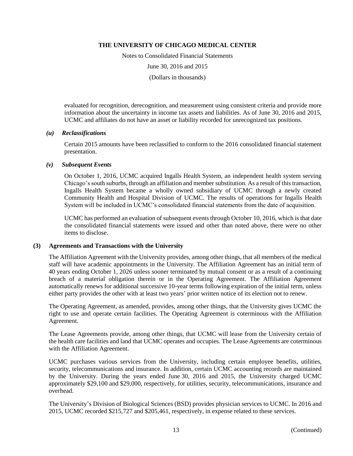Notes to Consolidated Financial Statements

June 30, 2016 and 2015

(Dollars in thousands)

evaluated for recognition, derecognition, and measurement using consistent criteria and provide more information about the uncertainty in income tax assets and liabilities. As of June 30, 2016 and 2015, UCMC and affiliates do not have an asset or liability recorded for unrecognized tax positions.

#### *(u) Reclassifications*

Certain 2015 amounts have been reclassified to conform to the 2016 consolidated financial statement presentation.

### *(v) Subsequent Events*

On October 1, 2016, UCMC acquired Ingalls Health System, an independent health system serving Chicago's south suburbs, through an affiliation and member substitution. As a result of this transaction, Ingalls Health System became a wholly owned subsidiary of UCMC through a newly created Community Health and Hospital Division of UCMC. The results of operations for Ingalls Health System will be included in UCMC's consolidated financial statements from the date of acquisition.

UCMC has performed an evaluation of subsequent events through October 10, 2016, which is that date the consolidated financial statements were issued and other than noted above, there were no other items to disclose.

#### **(3) Agreements and Transactions with the University**

The Affiliation Agreement with the University provides, among other things, that all members of the medical staff will have academic appointments in the University. The Affiliation Agreement has an initial term of 40 years ending October 1, 2026 unless sooner terminated by mutual consent or as a result of a continuing breach of a material obligation therein or in the Operating Agreement. The Affiliation Agreement automatically renews for additional successive 10-year terms following expiration of the initial term, unless either party provides the other with at least two years' prior written notice of its election not to renew.

The Operating Agreement, as amended, provides, among other things, that the University gives UCMC the right to use and operate certain facilities. The Operating Agreement is coterminous with the Affiliation Agreement.

The Lease Agreements provide, among other things, that UCMC will lease from the University certain of the health care facilities and land that UCMC operates and occupies. The Lease Agreements are coterminous with the Affiliation Agreement.

UCMC purchases various services from the University, including certain employee benefits, utilities, security, telecommunications and insurance. In addition, certain UCMC accounting records are maintained by the University. During the years ended June 30, 2016 and 2015, the University charged UCMC approximately \$29,100 and \$29,000, respectively, for utilities, security, telecommunications, insurance and overhead.

The University's Division of Biological Sciences (BSD) provides physician services to UCMC. In 2016 and 2015, UCMC recorded \$215,727 and \$205,461, respectively, in expense related to these services.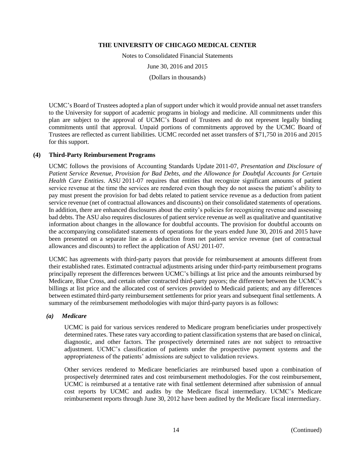Notes to Consolidated Financial Statements June 30, 2016 and 2015

(Dollars in thousands)

UCMC's Board of Trustees adopted a plan of support under which it would provide annual net asset transfers to the University for support of academic programs in biology and medicine. All commitments under this plan are subject to the approval of UCMC's Board of Trustees and do not represent legally binding commitments until that approval. Unpaid portions of commitments approved by the UCMC Board of Trustees are reflected as current liabilities. UCMC recorded net asset transfers of \$71,750 in 2016 and 2015 for this support.

#### **(4) Third-Party Reimbursement Programs**

UCMC follows the provisions of Accounting Standards Update 2011-07, *Presentation and Disclosure of Patient Service Revenue, Provision for Bad Debts, and the Allowance for Doubtful Accounts for Certain Health Care Entities*. ASU 2011-07 requires that entities that recognize significant amounts of patient service revenue at the time the services are rendered even though they do not assess the patient's ability to pay must present the provision for bad debts related to patient service revenue as a deduction from patient service revenue (net of contractual allowances and discounts) on their consolidated statements of operations. In addition, there are enhanced disclosures about the entity's policies for recognizing revenue and assessing bad debts. The ASU also requires disclosures of patient service revenue as well as qualitative and quantitative information about changes in the allowance for doubtful accounts. The provision for doubtful accounts on the accompanying consolidated statements of operations for the years ended June 30, 2016 and 2015 have been presented on a separate line as a deduction from net patient service revenue (net of contractual allowances and discounts) to reflect the application of ASU 2011-07.

UCMC has agreements with third-party payors that provide for reimbursement at amounts different from their established rates. Estimated contractual adjustments arising under third-party reimbursement programs principally represent the differences between UCMC's billings at list price and the amounts reimbursed by Medicare, Blue Cross, and certain other contracted third-party payors; the difference between the UCMC's billings at list price and the allocated cost of services provided to Medicaid patients; and any differences between estimated third-party reimbursement settlements for prior years and subsequent final settlements. A summary of the reimbursement methodologies with major third-party payors is as follows:

#### *(a) Medicare*

UCMC is paid for various services rendered to Medicare program beneficiaries under prospectively determined rates. These rates vary according to patient classification systems that are based on clinical, diagnostic, and other factors. The prospectively determined rates are not subject to retroactive adjustment. UCMC's classification of patients under the prospective payment systems and the appropriateness of the patients' admissions are subject to validation reviews.

Other services rendered to Medicare beneficiaries are reimbursed based upon a combination of prospectively determined rates and cost reimbursement methodologies. For the cost reimbursement, UCMC is reimbursed at a tentative rate with final settlement determined after submission of annual cost reports by UCMC and audits by the Medicare fiscal intermediary. UCMC's Medicare reimbursement reports through June 30, 2012 have been audited by the Medicare fiscal intermediary.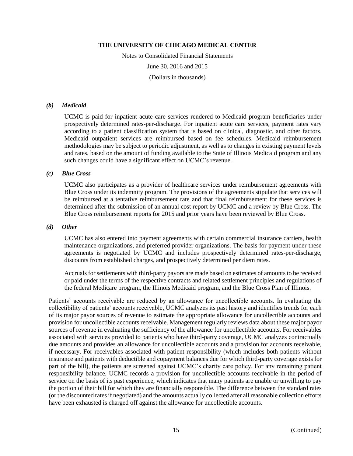Notes to Consolidated Financial Statements June 30, 2016 and 2015 (Dollars in thousands)

#### *(b) Medicaid*

UCMC is paid for inpatient acute care services rendered to Medicaid program beneficiaries under prospectively determined rates-per-discharge. For inpatient acute care services, payment rates vary according to a patient classification system that is based on clinical, diagnostic, and other factors. Medicaid outpatient services are reimbursed based on fee schedules. Medicaid reimbursement methodologies may be subject to periodic adjustment, as well as to changes in existing payment levels and rates, based on the amount of funding available to the State of Illinois Medicaid program and any such changes could have a significant effect on UCMC's revenue.

### *(c) Blue Cross*

UCMC also participates as a provider of healthcare services under reimbursement agreements with Blue Cross under its indemnity program. The provisions of the agreements stipulate that services will be reimbursed at a tentative reimbursement rate and that final reimbursement for these services is determined after the submission of an annual cost report by UCMC and a review by Blue Cross. The Blue Cross reimbursement reports for 2015 and prior years have been reviewed by Blue Cross.

#### *(d) Other*

UCMC has also entered into payment agreements with certain commercial insurance carriers, health maintenance organizations, and preferred provider organizations. The basis for payment under these agreements is negotiated by UCMC and includes prospectively determined rates-per-discharge, discounts from established charges, and prospectively determined per diem rates.

Accruals for settlements with third-party payors are made based on estimates of amounts to be received or paid under the terms of the respective contracts and related settlement principles and regulations of the federal Medicare program, the Illinois Medicaid program, and the Blue Cross Plan of Illinois.

Patients' accounts receivable are reduced by an allowance for uncollectible accounts. In evaluating the collectibility of patients' accounts receivable, UCMC analyzes its past history and identifies trends for each of its major payor sources of revenue to estimate the appropriate allowance for uncollectible accounts and provision for uncollectible accounts receivable. Management regularly reviews data about these major payor sources of revenue in evaluating the sufficiency of the allowance for uncollectible accounts. For receivables associated with services provided to patients who have third-party coverage, UCMC analyzes contractually due amounts and provides an allowance for uncollectible accounts and a provision for accounts receivable, if necessary. For receivables associated with patient responsibility (which includes both patients without insurance and patients with deductible and copayment balances due for which third-party coverage exists for part of the bill), the patients are screened against UCMC's charity care policy. For any remaining patient responsibility balance, UCMC records a provision for uncollectible accounts receivable in the period of service on the basis of its past experience, which indicates that many patients are unable or unwilling to pay the portion of their bill for which they are financially responsible. The difference between the standard rates (or the discounted rates if negotiated) and the amounts actually collected after all reasonable collection efforts have been exhausted is charged off against the allowance for uncollectible accounts.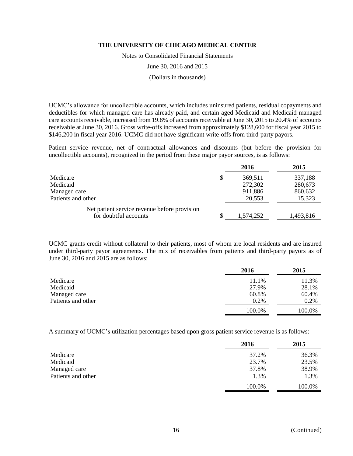Notes to Consolidated Financial Statements

June 30, 2016 and 2015

(Dollars in thousands)

UCMC's allowance for uncollectible accounts, which includes uninsured patients, residual copayments and deductibles for which managed care has already paid, and certain aged Medicaid and Medicaid managed care accounts receivable, increased from 19.8% of accounts receivable at June 30, 2015 to 20.4% of accounts receivable at June 30, 2016. Gross write-offs increased from approximately \$128,600 for fiscal year 2015 to \$146,200 in fiscal year 2016. UCMC did not have significant write-offs from third-party payors.

Patient service revenue, net of contractual allowances and discounts (but before the provision for uncollectible accounts), recognized in the period from these major payor sources, is as follows:

|                                              | 2016      | 2015      |
|----------------------------------------------|-----------|-----------|
| Medicare                                     | 369,511   | 337,188   |
| Medicaid                                     | 272,302   | 280,673   |
| Managed care                                 | 911,886   | 860,632   |
| Patients and other                           | 20,553    | 15,323    |
| Net patient service revenue before provision |           |           |
| for doubtful accounts                        | 1,574,252 | 1,493,816 |

UCMC grants credit without collateral to their patients, most of whom are local residents and are insured under third-party payor agreements. The mix of receivables from patients and third-party payors as of June 30, 2016 and 2015 are as follows:

|                    | 2016    | 2015   |
|--------------------|---------|--------|
| Medicare           | 11.1%   | 11.3%  |
| Medicaid           | 27.9%   | 28.1%  |
| Managed care       | 60.8%   | 60.4%  |
| Patients and other | $0.2\%$ | 0.2%   |
|                    | 100.0%  | 100.0% |

A summary of UCMC's utilization percentages based upon gross patient service revenue is as follows:

|                    | 2016   | 2015   |
|--------------------|--------|--------|
| Medicare           | 37.2%  | 36.3%  |
| Medicaid           | 23.7%  | 23.5%  |
| Managed care       | 37.8%  | 38.9%  |
| Patients and other | 1.3%   | 1.3%   |
|                    | 100.0% | 100.0% |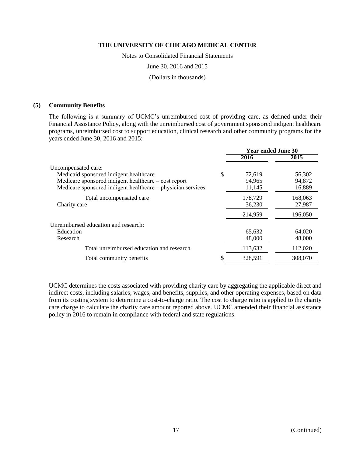Notes to Consolidated Financial Statements

June 30, 2016 and 2015

(Dollars in thousands)

### **(5) Community Benefits**

The following is a summary of UCMC's unreimbursed cost of providing care, as defined under their Financial Assistance Policy, along with the unreimbursed cost of government sponsored indigent healthcare programs, unreimbursed cost to support education, clinical research and other community programs for the years ended June 30, 2016 and 2015:

|                                                             | <b>Year ended June 30</b> |         |
|-------------------------------------------------------------|---------------------------|---------|
|                                                             | 2016                      | 2015    |
| Uncompensated care:                                         |                           |         |
| Medicaid sponsored indigent healthcare                      | \$<br>72,619              | 56,302  |
| Medicare sponsored indigent healthcare – cost report        | 94,965                    | 94,872  |
| Medicare sponsored indigent healthcare – physician services | 11,145                    | 16,889  |
| Total uncompensated care                                    | 178,729                   | 168,063 |
| Charity care                                                | 36,230                    | 27,987  |
|                                                             | 214,959                   | 196,050 |
| Unreimbursed education and research:                        |                           |         |
| <b>Education</b>                                            | 65,632                    | 64,020  |
| Research                                                    | 48,000                    | 48,000  |
| Total unreimbursed education and research                   | 113,632                   | 112,020 |
| Total community benefits                                    | \$<br>328,591             | 308,070 |
|                                                             |                           |         |

UCMC determines the costs associated with providing charity care by aggregating the applicable direct and indirect costs, including salaries, wages, and benefits, supplies, and other operating expenses, based on data from its costing system to determine a cost-to-charge ratio. The cost to charge ratio is applied to the charity care charge to calculate the charity care amount reported above. UCMC amended their financial assistance policy in 2016 to remain in compliance with federal and state regulations.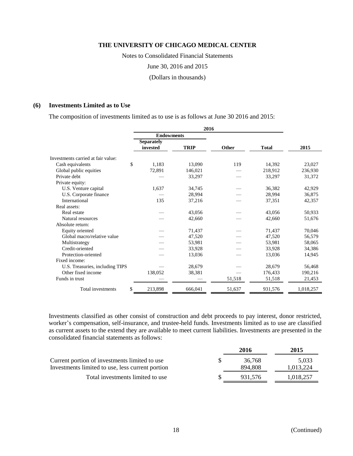Notes to Consolidated Financial Statements

June 30, 2016 and 2015

(Dollars in thousands)

#### **(6) Investments Limited as to Use**

The composition of investments limited as to use is as follows at June 30 2016 and 2015:

|                                    |                        | 2016    |        |              |           |
|------------------------------------|------------------------|---------|--------|--------------|-----------|
|                                    | <b>Endowments</b>      |         |        |              |           |
|                                    | Separately<br>invested | TRIP    | Other  | <b>Total</b> | 2015      |
| Investments carried at fair value: |                        |         |        |              |           |
| \$<br>Cash equivalents             | 1.183                  | 13.090  | 119    | 14.392       | 23,027    |
| Global public equities             | 72,891                 | 146,021 |        | 218,912      | 236,930   |
| Private debt                       |                        | 33,297  |        | 33,297       | 31,372    |
| Private equity:                    |                        |         |        |              |           |
| U.S. Venture capital               | 1,637                  | 34,745  |        | 36,382       | 42,929    |
| U.S. Corporate finance             |                        | 28,994  |        | 28,994       | 36,875    |
| International                      | 135                    | 37,216  |        | 37,351       | 42,357    |
| Real assets:                       |                        |         |        |              |           |
| Real estate                        |                        | 43,056  |        | 43,056       | 50,933    |
| Natural resources                  |                        | 42,660  |        | 42,660       | 51,676    |
| Absolute return:                   |                        |         |        |              |           |
| Equity oriented                    |                        | 71,437  |        | 71,437       | 70,046    |
| Global macro/relative value        |                        | 47,520  |        | 47,520       | 56,579    |
| Multistrategy                      |                        | 53.981  |        | 53.981       | 58,065    |
| Credit-oriented                    |                        | 33,928  |        | 33,928       | 34,386    |
| Protection-oriented                |                        | 13,036  |        | 13,036       | 14,945    |
| Fixed income:                      |                        |         |        |              |           |
| U.S. Treasuries, including TIPS    |                        | 28,679  |        | 28,679       | 56,468    |
| Other fixed income                 | 138,052                | 38,381  |        | 176,433      | 190,216   |
| Funds in trust                     |                        |         | 51,518 | 51,518       | 21,453    |
| \$<br>Total investments            | 213,898                | 666,041 | 51,637 | 931,576      | 1,018,257 |

Investments classified as other consist of construction and debt proceeds to pay interest, donor restricted, worker's compensation, self-insurance, and trustee-held funds. Investments limited as to use are classified as current assets to the extend they are available to meet current liabilities. Investments are presented in the consolidated financial statements as follows:

|                                                                                                   | 2016              | 2015               |
|---------------------------------------------------------------------------------------------------|-------------------|--------------------|
| Current portion of investments limited to use<br>Investments limited to use, less current portion | 36.768<br>894.808 | 5.033<br>1.013.224 |
| Total investments limited to use                                                                  | 931.576           | 1.018.257          |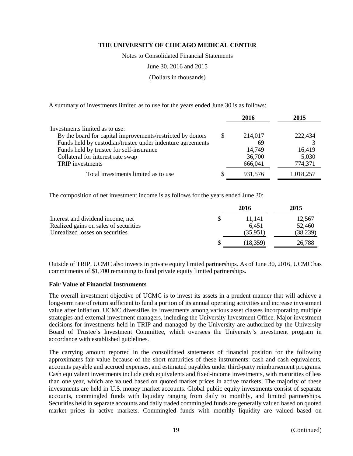Notes to Consolidated Financial Statements

June 30, 2016 and 2015

(Dollars in thousands)

A summary of investments limited as to use for the years ended June 30 is as follows:

|                                                            |               | 2016    | 2015      |
|------------------------------------------------------------|---------------|---------|-----------|
| Investments limited as to use:                             |               |         |           |
| By the board for capital improvements/restricted by donors | <sup>\$</sup> | 214,017 | 222,434   |
| Funds held by custodian/trustee under indenture agreements |               | 69      |           |
| Funds held by trustee for self-insurance                   |               | 14,749  | 16,419    |
| Collateral for interest rate swap                          |               | 36,700  | 5,030     |
| <b>TRIP</b> investments                                    |               | 666,041 | 774,371   |
| Total investments limited as to use                        |               | 931,576 | 1,018,257 |

The composition of net investment income is as follows for the years ended June 30:

|                                       | 2016     | 2015      |
|---------------------------------------|----------|-----------|
| Interest and dividend income, net     | 11.141   | 12,567    |
| Realized gains on sales of securities | 6.451    | 52,460    |
| Unrealized losses on securities       | (35,951) | (38, 239) |
|                                       | (18,359  | 26,788    |

Outside of TRIP, UCMC also invests in private equity limited partnerships. As of June 30, 2016, UCMC has commitments of \$1,700 remaining to fund private equity limited partnerships.

#### **Fair Value of Financial Instruments**

The overall investment objective of UCMC is to invest its assets in a prudent manner that will achieve a long-term rate of return sufficient to fund a portion of its annual operating activities and increase investment value after inflation. UCMC diversifies its investments among various asset classes incorporating multiple strategies and external investment managers, including the University Investment Office. Major investment decisions for investments held in TRIP and managed by the University are authorized by the University Board of Trustee's Investment Committee, which oversees the University's investment program in accordance with established guidelines.

The carrying amount reported in the consolidated statements of financial position for the following approximates fair value because of the short maturities of these instruments: cash and cash equivalents, accounts payable and accrued expenses, and estimated payables under third-party reimbursement programs. Cash equivalent investments include cash equivalents and fixed-income investments, with maturities of less than one year, which are valued based on quoted market prices in active markets. The majority of these investments are held in U.S. money market accounts. Global public equity investments consist of separate accounts, commingled funds with liquidity ranging from daily to monthly, and limited partnerships. Securities held in separate accounts and daily traded commingled funds are generally valued based on quoted market prices in active markets. Commingled funds with monthly liquidity are valued based on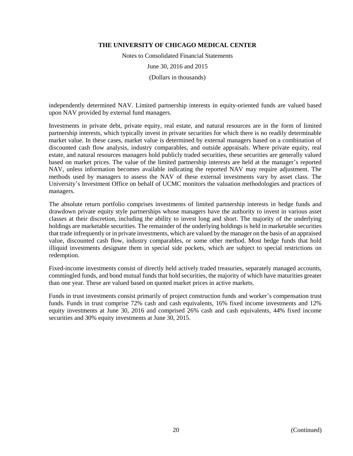Notes to Consolidated Financial Statements June 30, 2016 and 2015 (Dollars in thousands)

independently determined NAV. Limited partnership interests in equity-oriented funds are valued based upon NAV provided by external fund managers.

Investments in private debt, private equity, real estate, and natural resources are in the form of limited partnership interests, which typically invest in private securities for which there is no readily determinable market value. In these cases, market value is determined by external managers based on a combination of discounted cash flow analysis, industry comparables, and outside appraisals. Where private equity, real estate, and natural resources managers hold publicly traded securities, these securities are generally valued based on market prices. The value of the limited partnership interests are held at the manager's reported NAV, unless information becomes available indicating the reported NAV may require adjustment. The methods used by managers to assess the NAV of these external investments vary by asset class. The University's Investment Office on behalf of UCMC monitors the valuation methodologies and practices of managers.

The absolute return portfolio comprises investments of limited partnership interests in hedge funds and drawdown private equity style partnerships whose managers have the authority to invest in various asset classes at their discretion, including the ability to invest long and short. The majority of the underlying holdings are marketable securities. The remainder of the underlying holdings is held in marketable securities that trade infrequently or in private investments, which are valued by the manager on the basis of an appraised value, discounted cash flow, industry comparables, or some other method. Most hedge funds that hold illiquid investments designate them in special side pockets, which are subject to special restrictions on redemption.

Fixed-income investments consist of directly held actively traded treasuries, separately managed accounts, commingled funds, and bond mutual funds that hold securities, the majority of which have maturities greater than one year. These are valued based on quoted market prices in active markets.

Funds in trust investments consist primarily of project construction funds and worker's compensation trust funds. Funds in trust comprise 72% cash and cash equivalents, 16% fixed income investments and 12% equity investments at June 30, 2016 and comprised 26% cash and cash equivalents, 44% fixed income securities and 30% equity investments at June 30, 2015.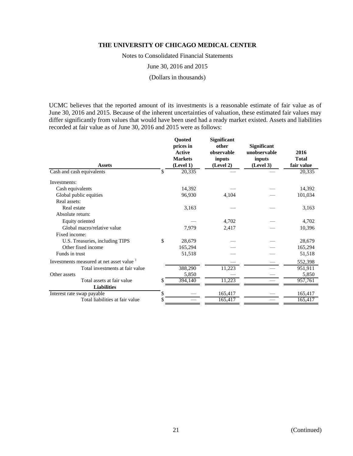Notes to Consolidated Financial Statements

June 30, 2016 and 2015

(Dollars in thousands)

UCMC believes that the reported amount of its investments is a reasonable estimate of fair value as of June 30, 2016 and 2015. Because of the inherent uncertainties of valuation, these estimated fair values may differ significantly from values that would have been used had a ready market existed. Assets and liabilities recorded at fair value as of June 30, 2016 and 2015 were as follows:

| <b>Assets</b>                                        |    | <b>Ouoted</b><br>prices in<br><b>Active</b><br><b>Markets</b><br>(Level 1) | <b>Significant</b><br>other<br>observable<br>inputs<br>(Level 2) | <b>Significant</b><br>unobservable<br>inputs<br>(Level 3) | 2016<br><b>Total</b><br>fair value |
|------------------------------------------------------|----|----------------------------------------------------------------------------|------------------------------------------------------------------|-----------------------------------------------------------|------------------------------------|
| Cash and cash equivalents                            | \$ | 20,335                                                                     |                                                                  |                                                           | 20,335                             |
| Investments:                                         |    |                                                                            |                                                                  |                                                           |                                    |
| Cash equivalents                                     |    | 14,392                                                                     |                                                                  |                                                           | 14,392                             |
| Global public equities                               |    | 96,930                                                                     | 4,104                                                            |                                                           | 101,034                            |
| Real assets:                                         |    |                                                                            |                                                                  |                                                           |                                    |
| Real estate                                          |    | 3,163                                                                      |                                                                  |                                                           | 3,163                              |
| Absolute return:                                     |    |                                                                            |                                                                  |                                                           |                                    |
| Equity oriented                                      |    |                                                                            | 4,702                                                            |                                                           | 4,702                              |
| Global macro/relative value                          |    | 7,979                                                                      | 2,417                                                            |                                                           | 10,396                             |
| Fixed income:                                        |    |                                                                            |                                                                  |                                                           |                                    |
| U.S. Treasuries, including TIPS                      | \$ | 28,679                                                                     |                                                                  |                                                           | 28,679                             |
| Other fixed income                                   |    | 165,294                                                                    |                                                                  |                                                           | 165,294                            |
| Funds in trust                                       |    | 51,518                                                                     |                                                                  |                                                           | 51,518                             |
| Investments measured at net asset value <sup>1</sup> |    |                                                                            |                                                                  |                                                           | 552,398                            |
| Total investments at fair value                      |    | 388,290                                                                    | 11,223                                                           |                                                           | 951,911                            |
| Other assets                                         |    | 5,850                                                                      |                                                                  |                                                           | 5,850                              |
| Total assets at fair value                           |    | 394,140                                                                    | 11,223                                                           |                                                           | 957,761                            |
| <b>Liabilities</b>                                   |    |                                                                            |                                                                  |                                                           |                                    |
| Interest rate swap payable                           | S  |                                                                            | 165,417                                                          |                                                           | 165,417                            |
| Total liabilities at fair value                      |    |                                                                            | 165,417                                                          |                                                           | 165,417                            |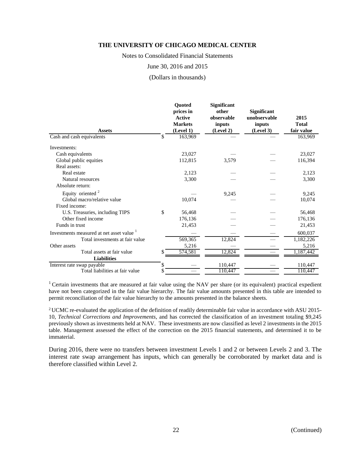Notes to Consolidated Financial Statements

June 30, 2016 and 2015

(Dollars in thousands)

| <b>Assets</b>                                        | <b>Ouoted</b><br>prices in<br><b>Active</b><br><b>Markets</b><br>(Level 1) | <b>Significant</b><br>other<br>observable<br>inputs<br>(Level 2) | <b>Significant</b><br>unobservable<br>inputs<br>(Level 3) | 2015<br><b>Total</b><br>fair value |
|------------------------------------------------------|----------------------------------------------------------------------------|------------------------------------------------------------------|-----------------------------------------------------------|------------------------------------|
| Cash and cash equivalents                            | \$<br>163,969                                                              |                                                                  |                                                           | 163,969                            |
| Investments:                                         |                                                                            |                                                                  |                                                           |                                    |
| Cash equivalents                                     | 23,027                                                                     |                                                                  |                                                           | 23,027                             |
| Global public equities                               | 112,815                                                                    | 3,579                                                            |                                                           | 116,394                            |
| Real assets:                                         |                                                                            |                                                                  |                                                           |                                    |
| Real estate                                          | 2,123                                                                      |                                                                  |                                                           | 2,123                              |
| Natural resources                                    | 3,300                                                                      |                                                                  |                                                           | 3,300                              |
| Absolute return:                                     |                                                                            |                                                                  |                                                           |                                    |
| Equity oriented <sup>2</sup>                         |                                                                            | 9,245                                                            |                                                           | 9,245                              |
| Global macro/relative value                          | 10,074                                                                     |                                                                  |                                                           | 10,074                             |
| Fixed income:                                        |                                                                            |                                                                  |                                                           |                                    |
| U.S. Treasuries, including TIPS                      | \$<br>56,468                                                               |                                                                  |                                                           | 56,468                             |
| Other fixed income                                   | 176,136                                                                    |                                                                  |                                                           | 176,136                            |
| Funds in trust                                       | 21,453                                                                     |                                                                  |                                                           | 21,453                             |
| Investments measured at net asset value <sup>1</sup> |                                                                            |                                                                  |                                                           | 600,037                            |
| Total investments at fair value                      | 569,365                                                                    | 12,824                                                           |                                                           | 1,182,226                          |
| Other assets                                         | 5,216                                                                      |                                                                  |                                                           | 5,216                              |
| Total assets at fair value                           | \$<br>574,581                                                              | 12,824                                                           |                                                           | 1,187,442                          |
| <b>Liabilities</b>                                   |                                                                            |                                                                  |                                                           |                                    |
| Interest rate swap payable                           | \$                                                                         | 110,447                                                          |                                                           | 110,447                            |
| Total liabilities at fair value                      |                                                                            | 110,447                                                          |                                                           | 110,447                            |

<sup>1</sup> Certain investments that are measured at fair value using the NAV per share (or its equivalent) practical expedient have not been categorized in the fair value hierarchy. The fair value amounts presented in this table are intended to permit reconciliation of the fair value hierarchy to the amounts presented in the balance sheets.

<sup>2</sup> UCMC re-evaluated the application of the definition of readily determinable fair value in accordance with ASU 2015-10, *Technical Corrections and Improvements*, and has corrected the classification of an investment totaling \$9,245 previously shown as investments held at NAV. These investments are now classified as level 2 investments in the 2015 table. Management assessed the effect of the correction on the 2015 financial statements, and determined it to be immaterial.

During 2016, there were no transfers between investment Levels 1 and 2 or between Levels 2 and 3. The interest rate swap arrangement has inputs, which can generally be corroborated by market data and is therefore classified within Level 2.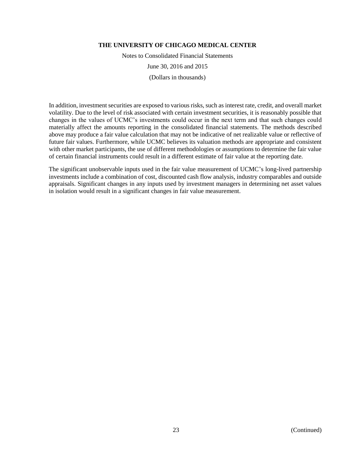Notes to Consolidated Financial Statements June 30, 2016 and 2015 (Dollars in thousands)

In addition, investment securities are exposed to various risks, such as interest rate, credit, and overall market volatility. Due to the level of risk associated with certain investment securities, it is reasonably possible that changes in the values of UCMC's investments could occur in the next term and that such changes could materially affect the amounts reporting in the consolidated financial statements. The methods described above may produce a fair value calculation that may not be indicative of net realizable value or reflective of future fair values. Furthermore, while UCMC believes its valuation methods are appropriate and consistent with other market participants, the use of different methodologies or assumptions to determine the fair value of certain financial instruments could result in a different estimate of fair value at the reporting date.

The significant unobservable inputs used in the fair value measurement of UCMC's long-lived partnership investments include a combination of cost, discounted cash flow analysis, industry comparables and outside appraisals. Significant changes in any inputs used by investment managers in determining net asset values in isolation would result in a significant changes in fair value measurement.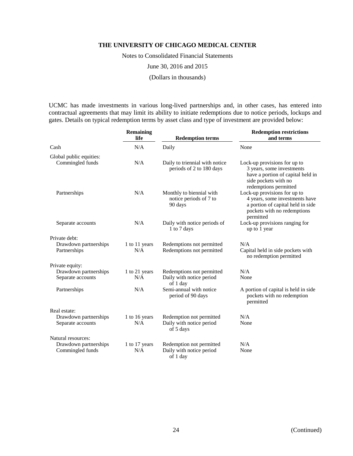Notes to Consolidated Financial Statements

June 30, 2016 and 2015

(Dollars in thousands)

UCMC has made investments in various long-lived partnerships and, in other cases, has entered into contractual agreements that may limit its ability to initiate redemptions due to notice periods, lockups and gates. Details on typical redemption terms by asset class and type of investment are provided below:

|                                             | <b>Remaining</b><br>life | <b>Redemption terms</b>                                           | <b>Redemption restrictions</b><br>and terms                                                                                                                              |
|---------------------------------------------|--------------------------|-------------------------------------------------------------------|--------------------------------------------------------------------------------------------------------------------------------------------------------------------------|
| Cash                                        | N/A                      | Daily                                                             | None                                                                                                                                                                     |
| Global public equities:<br>Commingled funds | N/A                      | Daily to triennial with notice<br>periods of 2 to 180 days        | Lock-up provisions for up to<br>3 years, some investments<br>have a portion of capital held in<br>side pockets with no                                                   |
| Partnerships                                | N/A                      | Monthly to biennial with<br>notice periods of 7 to<br>90 days     | redemptions permitted<br>Lock-up provisions for up to<br>4 years, some investments have<br>a portion of capital held in side<br>pockets with no redemptions<br>permitted |
| Separate accounts                           | N/A                      | Daily with notice periods of<br>1 to 7 days                       | Lock-up provisions ranging for<br>up to 1 year                                                                                                                           |
| Private debt:                               |                          |                                                                   |                                                                                                                                                                          |
| Drawdown partnerships<br>Partnerships       | 1 to 11 years<br>N/A     | Redemptions not permitted<br>Redemptions not permitted            | N/A<br>Capital held in side pockets with<br>no redemption permitted                                                                                                      |
| Private equity:                             |                          |                                                                   |                                                                                                                                                                          |
| Drawdown partnerships                       | 1 to 21 years            | Redemptions not permitted                                         | N/A                                                                                                                                                                      |
| Separate accounts                           | N/A                      | Daily with notice period<br>of 1 day                              | None                                                                                                                                                                     |
| Partnerships                                | N/A                      | Semi-annual with notice<br>period of 90 days                      | A portion of capital is held in side<br>pockets with no redemption<br>permitted                                                                                          |
| Real estate:                                |                          |                                                                   |                                                                                                                                                                          |
| Drawdown partnerships<br>Separate accounts  | 1 to 16 years<br>N/A     | Redemption not permitted<br>Daily with notice period<br>of 5 days | N/A<br>None                                                                                                                                                              |
| Natural resources:                          |                          |                                                                   |                                                                                                                                                                          |
| Drawdown partnerships<br>Commingled funds   | 1 to 17 years<br>N/A     | Redemption not permitted<br>Daily with notice period<br>of 1 day  | N/A<br>None                                                                                                                                                              |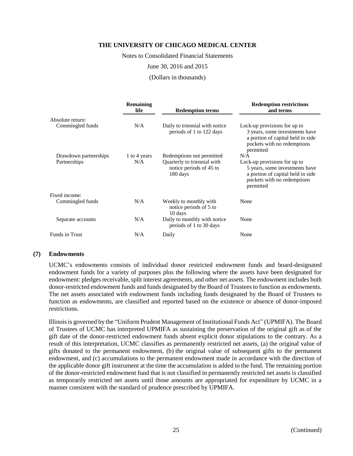Notes to Consolidated Financial Statements

June 30, 2016 and 2015

(Dollars in thousands)

|                       | <b>Remaining</b><br>life | <b>Redemption terms</b>                                            | <b>Redemption restrictions</b><br>and terms                                                                                                     |
|-----------------------|--------------------------|--------------------------------------------------------------------|-------------------------------------------------------------------------------------------------------------------------------------------------|
| Absolute return:      |                          |                                                                    |                                                                                                                                                 |
| Commingled funds      | N/A                      | Daily to triennial with notice<br>periods of 1 to 122 days         | Lock-up provisions for up to<br>3 years, some investments have<br>a portion of capital held in side<br>pockets with no redemptions<br>permitted |
| Drawdown partnerships | 1 to 4 years             | Redemptions not permitted                                          | N/A                                                                                                                                             |
| Partnerships          | N/A                      | Quarterly to triennial with<br>notice periods of 45 to<br>180 days | Lock-up provisions for up to<br>5 years, some investments have<br>a portion of capital held in side<br>pockets with no redemptions<br>permitted |
| Fixed income:         |                          |                                                                    |                                                                                                                                                 |
| Commingled funds      | N/A                      | Weekly to monthly with<br>notice periods of 5 to<br>10 days        | None                                                                                                                                            |
| Separate accounts     | N/A                      | Daily to monthly with notice<br>periods of 1 to 30 days            | None                                                                                                                                            |
| Funds in Trust        | N/A                      | Daily                                                              | None                                                                                                                                            |

#### **(7) Endowments**

UCMC's endowments consists of individual donor restricted endowment funds and board-designated endowment funds for a variety of purposes plus the following where the assets have been designated for endowment: pledges receivable, split interest agreements, and other net assets. The endowment includes both donor-restricted endowment funds and funds designated by the Board of Trustees to function as endowments. The net assets associated with endowment funds including funds designated by the Board of Trustees to function as endowments, are classified and reported based on the existence or absence of donor-imposed restrictions.

Illinois is governed by the "Uniform Prudent Management of Institutional Funds Act" (UPMIFA). The Board of Trustees of UCMC has interpreted UPMIFA as sustaining the preservation of the original gift as of the gift date of the donor-restricted endowment funds absent explicit donor stipulations to the contrary. As a result of this interpretation, UCMC classifies as permanently restricted net assets, (a) the original value of gifts donated to the permanent endowment, (b) the original value of subsequent gifts to the permanent endowment, and (c) accumulations to the permanent endowment made in accordance with the direction of the applicable donor gift instrument at the time the accumulation is added to the fund. The remaining portion of the donor-restricted endowment fund that is not classified in permanently restricted net assets is classified as temporarily restricted net assets until those amounts are appropriated for expenditure by UCMC in a manner consistent with the standard of prudence prescribed by UPMIFA.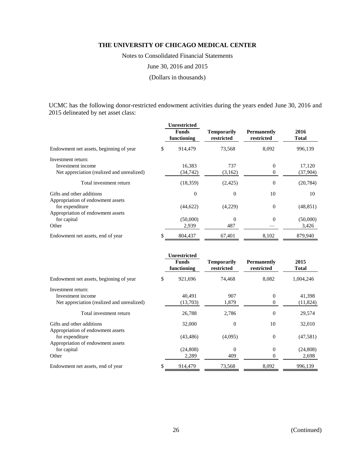Notes to Consolidated Financial Statements

June 30, 2016 and 2015

(Dollars in thousands)

UCMC has the following donor-restricted endowment activities during the years ended June 30, 2016 and 2015 delineated by net asset class:

|                                                                |    | <b>Unrestricted</b>         |                                  |                                  |                      |
|----------------------------------------------------------------|----|-----------------------------|----------------------------------|----------------------------------|----------------------|
|                                                                |    | <b>Funds</b><br>functioning | <b>Temporarily</b><br>restricted | <b>Permanently</b><br>restricted | 2016<br><b>Total</b> |
| Endowment net assets, beginning of year                        | \$ | 914,479                     | 73.568                           | 8.092                            | 996,139              |
| Investment return:                                             |    |                             |                                  |                                  |                      |
| Investment income                                              |    | 16.383                      | 737                              | $\overline{0}$                   | 17,120               |
| Net appreciation (realized and unrealized)                     |    | (34, 742)                   | (3,162)                          | $\overline{0}$                   | (37,904)             |
| Total investment return                                        |    | (18, 359)                   | (2, 425)                         | $\overline{0}$                   | (20, 784)            |
| Gifts and other additions<br>Appropriation of endowment assets |    | $\overline{0}$              | $\theta$                         | 10                               | 10                   |
| for expenditure                                                |    | (44, 622)                   | (4,229)                          | $\theta$                         | (48, 851)            |
| Appropriation of endowment assets                              |    |                             |                                  |                                  |                      |
| for capital                                                    |    | (50,000)                    | $\Omega$                         | $\overline{0}$                   | (50,000)             |
| Other                                                          |    | 2,939                       | 487                              |                                  | 3,426                |
| Endowment net assets, end of year                              | S  | 804,437                     | 67,401                           | 8,102                            | 879,940              |

|                                                                                           | <b>Unrestricted</b>         |                                  |                                  |                      |
|-------------------------------------------------------------------------------------------|-----------------------------|----------------------------------|----------------------------------|----------------------|
|                                                                                           | <b>Funds</b><br>functioning | <b>Temporarily</b><br>restricted | <b>Permanently</b><br>restricted | 2015<br><b>Total</b> |
| Endowment net assets, beginning of year                                                   | \$<br>921,696               | 74,468                           | 8,082                            | 1,004,246            |
| Investment return:                                                                        |                             |                                  |                                  |                      |
| Investment income                                                                         | 40.491                      | 907                              | $\Omega$                         | 41,398               |
| Net appreciation (realized and unrealized)                                                | (13,703)                    | 1,879                            | $\overline{0}$                   | (11,824)             |
| Total investment return                                                                   | 26,788                      | 2,786                            | $\overline{0}$                   | 29,574               |
| Gifts and other additions                                                                 | 32,000                      | $\theta$                         | 10                               | 32,010               |
| Appropriation of endowment assets<br>for expenditure<br>Appropriation of endowment assets | (43, 486)                   | (4,095)                          | $\theta$                         | (47,581)             |
| for capital                                                                               | (24,808)                    | $\Omega$                         | $\overline{0}$                   | (24, 808)            |
| Other                                                                                     | 2,289                       | 409                              | $\theta$                         | 2,698                |
| Endowment net assets, end of year                                                         | 914,479                     | 73,568                           | 8,092                            | 996,139              |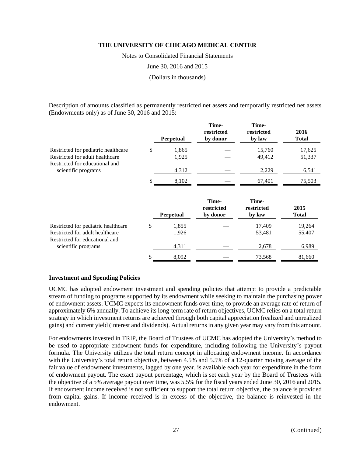Notes to Consolidated Financial Statements

June 30, 2016 and 2015

(Dollars in thousands)

Description of amounts classified as permanently restricted net assets and temporarily restricted net assets (Endowments only) as of June 30, 2016 and 2015:

|                                                                                                          |   | <b>Perpetual</b> | Time-<br>restricted<br>by donor | Time-<br>restricted<br>by law | 2016<br><b>Total</b> |
|----------------------------------------------------------------------------------------------------------|---|------------------|---------------------------------|-------------------------------|----------------------|
| Restricted for pediatric healthcare<br>Restricted for adult healthcare<br>Restricted for educational and | S | 1,865<br>1,925   |                                 | 15.760<br>49.412              | 17,625<br>51,337     |
| scientific programs                                                                                      |   | 4,312            |                                 | 2.229                         | 6,541                |
|                                                                                                          | S | 8,102            |                                 | 67.401                        | 75,503               |

|                                                                   |    | <b>Perpetual</b> | Time-<br>restricted<br>by donor | Time-<br>restricted<br>by law | 2015<br><b>Total</b> |
|-------------------------------------------------------------------|----|------------------|---------------------------------|-------------------------------|----------------------|
| Restricted for pediatric healthcare                               | \$ | 1,855            |                                 | 17.409                        | 19,264               |
| Restricted for adult healthcare<br>Restricted for educational and |    | 1,926            |                                 | 53,481                        | 55,407               |
| scientific programs                                               |    | 4,311            |                                 | 2,678                         | 6,989                |
|                                                                   | S  | 8.092            |                                 | 73.568                        | 81,660               |

#### **Investment and Spending Policies**

UCMC has adopted endowment investment and spending policies that attempt to provide a predictable stream of funding to programs supported by its endowment while seeking to maintain the purchasing power of endowment assets. UCMC expects its endowment funds over time, to provide an average rate of return of approximately 6% annually. To achieve its long-term rate of return objectives, UCMC relies on a total return strategy in which investment returns are achieved through both capital appreciation (realized and unrealized gains) and current yield (interest and dividends). Actual returns in any given year may vary from this amount.

For endowments invested in TRIP, the Board of Trustees of UCMC has adopted the University's method to be used to appropriate endowment funds for expenditure, including following the University's payout formula. The University utilizes the total return concept in allocating endowment income. In accordance with the University's total return objective, between 4.5% and 5.5% of a 12-quarter moving average of the fair value of endowment investments, lagged by one year, is available each year for expenditure in the form of endowment payout. The exact payout percentage, which is set each year by the Board of Trustees with the objective of a 5% average payout over time, was 5.5% for the fiscal years ended June 30, 2016 and 2015. If endowment income received is not sufficient to support the total return objective, the balance is provided from capital gains. If income received is in excess of the objective, the balance is reinvested in the endowment.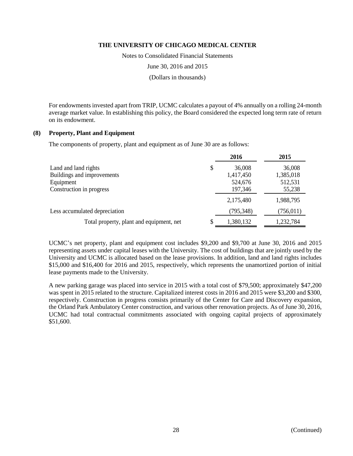Notes to Consolidated Financial Statements

June 30, 2016 and 2015

(Dollars in thousands)

For endowments invested apart from TRIP, UCMC calculates a payout of 4% annually on a rolling 24-month average market value. In establishing this policy, the Board considered the expected long term rate of return on its endowment.

#### **(8) Property, Plant and Equipment**

The components of property, plant and equipment as of June 30 are as follows:

|                                          | 2016       | 2015       |
|------------------------------------------|------------|------------|
| Land and land rights                     | 36,008     | 36,008     |
| Buildings and improvements               | 1,417,450  | 1,385,018  |
| Equipment                                | 524,676    | 512,531    |
| Construction in progress                 | 197,346    | 55,238     |
|                                          | 2,175,480  | 1,988,795  |
| Less accumulated depreciation            | (795, 348) | (756, 011) |
| Total property, plant and equipment, net | 1,380,132  | 1,232,784  |

UCMC's net property, plant and equipment cost includes \$9,200 and \$9,700 at June 30, 2016 and 2015 representing assets under capital leases with the University. The cost of buildings that are jointly used by the University and UCMC is allocated based on the lease provisions. In addition, land and land rights includes \$15,000 and \$16,400 for 2016 and 2015, respectively, which represents the unamortized portion of initial lease payments made to the University.

A new parking garage was placed into service in 2015 with a total cost of \$79,500; approximately \$47,200 was spent in 2015 related to the structure. Capitalized interest costs in 2016 and 2015 were \$3,200 and \$300, respectively. Construction in progress consists primarily of the Center for Care and Discovery expansion, the Orland Park Ambulatory Center construction, and various other renovation projects. As of June 30, 2016, UCMC had total contractual commitments associated with ongoing capital projects of approximately \$51,600.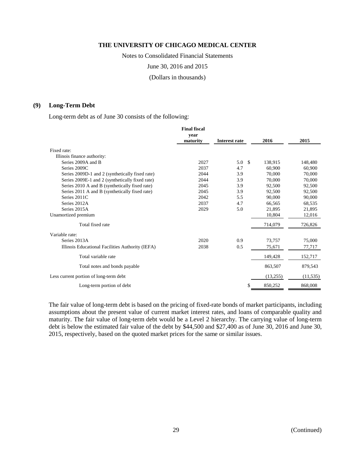Notes to Consolidated Financial Statements

June 30, 2016 and 2015

(Dollars in thousands)

### **(9) Long-Term Debt**

Long-term debt as of June 30 consists of the following:

|                                                  | <b>Final fiscal</b> |                      |          |           |
|--------------------------------------------------|---------------------|----------------------|----------|-----------|
|                                                  | vear                |                      |          |           |
|                                                  | maturity            | <b>Interest rate</b> | 2016     | 2015      |
| Fixed rate:                                      |                     |                      |          |           |
| Illinois finance authority:                      |                     |                      |          |           |
| Series 2009A and B                               | 2027                | 5.0 <sup>5</sup>     | 138,915  | 148,480   |
| Series 2009C                                     | 2037                | 4.7                  | 60.900   | 60.900    |
| Series 2009D-1 and 2 (synthetically fixed rate)  | 2044                | 3.9                  | 70,000   | 70,000    |
| Series 2009E-1 and 2 (synthetically fixed rate)  | 2044                | 3.9                  | 70,000   | 70,000    |
| Series 2010 A and B (synthetically fixed rate)   | 2045                | 3.9                  | 92,500   | 92,500    |
| Series 2011 A and B (synthetically fixed rate)   | 2045                | 3.9                  | 92,500   | 92,500    |
| Series 2011C                                     | 2042                | 5.5                  | 90,000   | 90,000    |
| Series 2012A                                     | 2037                | 4.7                  | 66,565   | 68,535    |
| Series 2015A                                     | 2029                | 5.0                  | 21,895   | 21,895    |
| Unamortized premium                              |                     |                      | 10,804   | 12,016    |
| Total fixed rate                                 |                     |                      | 714,079  | 726,826   |
| Variable rate:                                   |                     |                      |          |           |
| Series 2013A                                     | 2020                | 0.9                  | 73,757   | 75,000    |
| Illinois Educational Facilities Authority (IEFA) | 2038                | 0.5                  | 75,671   | 77,717    |
| Total variable rate                              |                     |                      | 149,428  | 152,717   |
| Total notes and bonds payable                    |                     |                      | 863,507  | 879,543   |
| Less current portion of long-term debt           |                     |                      | (13,255) | (11, 535) |
| Long-term portion of debt                        |                     |                      | 850,252  | 868,008   |

The fair value of long-term debt is based on the pricing of fixed-rate bonds of market participants, including assumptions about the present value of current market interest rates, and loans of comparable quality and maturity. The fair value of long-term debt would be a Level 2 hierarchy. The carrying value of long-term debt is below the estimated fair value of the debt by \$44,500 and \$27,400 as of June 30, 2016 and June 30, 2015, respectively, based on the quoted market prices for the same or similar issues.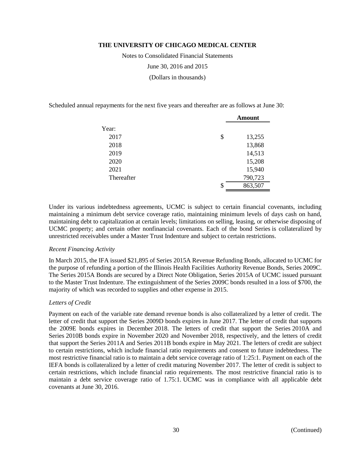Notes to Consolidated Financial Statements

June 30, 2016 and 2015

(Dollars in thousands)

Scheduled annual repayments for the next five years and thereafter are as follows at June 30:

|            |     | Amount  |
|------------|-----|---------|
| Year:      |     |         |
| 2017       | \$  | 13,255  |
| 2018       |     | 13,868  |
| 2019       |     | 14,513  |
| 2020       |     | 15,208  |
| 2021       |     | 15,940  |
| Thereafter |     | 790,723 |
|            | \$. | 863,507 |

Under its various indebtedness agreements, UCMC is subject to certain financial covenants, including maintaining a minimum debt service coverage ratio, maintaining minimum levels of days cash on hand, maintaining debt to capitalization at certain levels; limitations on selling, leasing, or otherwise disposing of UCMC property; and certain other nonfinancial covenants. Each of the bond Series is collateralized by unrestricted receivables under a Master Trust Indenture and subject to certain restrictions.

#### *Recent Financing Activity*

In March 2015, the IFA issued \$21,895 of Series 2015A Revenue Refunding Bonds, allocated to UCMC for the purpose of refunding a portion of the Illinois Health Facilities Authority Revenue Bonds, Series 2009C. The Series 2015A Bonds are secured by a Direct Note Obligation, Series 2015A of UCMC issued pursuant to the Master Trust Indenture. The extinguishment of the Series 2009C bonds resulted in a loss of \$700, the majority of which was recorded to supplies and other expense in 2015.

## *Letters of Credit*

Payment on each of the variable rate demand revenue bonds is also collateralized by a letter of credit. The letter of credit that support the Series 2009D bonds expires in June 2017. The letter of credit that supports the 2009E bonds expires in December 2018. The letters of credit that support the Series 2010A and Series 2010B bonds expire in November 2020 and November 2018, respectively, and the letters of credit that support the Series 2011A and Series 2011B bonds expire in May 2021. The letters of credit are subject to certain restrictions, which include financial ratio requirements and consent to future indebtedness. The most restrictive financial ratio is to maintain a debt service coverage ratio of 1:25:1. Payment on each of the IEFA bonds is collateralized by a letter of credit maturing November 2017. The letter of credit is subject to certain restrictions, which include financial ratio requirements. The most restrictive financial ratio is to maintain a debt service coverage ratio of 1.75:1. UCMC was in compliance with all applicable debt covenants at June 30, 2016.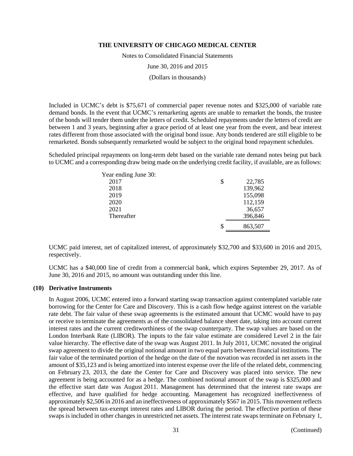Notes to Consolidated Financial Statements

June 30, 2016 and 2015

(Dollars in thousands)

Included in UCMC's debt is \$75,671 of commercial paper revenue notes and \$325,000 of variable rate demand bonds. In the event that UCMC's remarketing agents are unable to remarket the bonds, the trustee of the bonds will tender them under the letters of credit. Scheduled repayments under the letters of credit are between 1 and 3 years, beginning after a grace period of at least one year from the event, and bear interest rates different from those associated with the original bond issue. Any bonds tendered are still eligible to be remarketed. Bonds subsequently remarketed would be subject to the original bond repayment schedules.

Scheduled principal repayments on long-term debt based on the variable rate demand notes being put back to UCMC and a corresponding draw being made on the underlying credit facility, if available, are as follows:

| Year ending June 30: |               |
|----------------------|---------------|
| 2017                 | \$<br>22,785  |
| 2018                 | 139,962       |
| 2019                 | 155,098       |
| 2020                 | 112,159       |
| 2021                 | 36,657        |
| Thereafter           | 396,846       |
|                      | \$<br>863,507 |

UCMC paid interest, net of capitalized interest, of approximately \$32,700 and \$33,600 in 2016 and 2015, respectively.

UCMC has a \$40,000 line of credit from a commercial bank, which expires September 29, 2017. As of June 30, 2016 and 2015, no amount was outstanding under this line.

#### **(10) Derivative Instruments**

In August 2006, UCMC entered into a forward starting swap transaction against contemplated variable rate borrowing for the Center for Care and Discovery. This is a cash flow hedge against interest on the variable rate debt. The fair value of these swap agreements is the estimated amount that UCMC would have to pay or receive to terminate the agreements as of the consolidated balance sheet date, taking into account current interest rates and the current creditworthiness of the swap counterparty. The swap values are based on the London Interbank Rate (LIBOR). The inputs to the fair value estimate are considered Level 2 in the fair value hierarchy. The effective date of the swap was August 2011. In July 2011, UCMC novated the original swap agreement to divide the original notional amount in two equal parts between financial institutions. The fair value of the terminated portion of the hedge on the date of the novation was recorded in net assets in the amount of \$35,123 and is being amortized into interest expense over the life of the related debt, commencing on February 23, 2013, the date the Center for Care and Discovery was placed into service. The new agreement is being accounted for as a hedge. The combined notional amount of the swap is \$325,000 and the effective start date was August 2011. Management has determined that the interest rate swaps are effective, and have qualified for hedge accounting. Management has recognized ineffectiveness of approximately \$2,506 in 2016 and an ineffectiveness of approximately \$567 in 2015. This movement reflects the spread between tax-exempt interest rates and LIBOR during the period. The effective portion of these swaps is included in other changes in unrestricted net assets. The interest rate swaps terminate on February 1,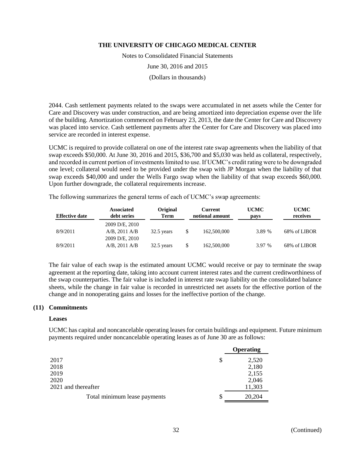Notes to Consolidated Financial Statements June 30, 2016 and 2015

(Dollars in thousands)

2044. Cash settlement payments related to the swaps were accumulated in net assets while the Center for Care and Discovery was under construction, and are being amortized into depreciation expense over the life of the building. Amortization commenced on February 23, 2013, the date the Center for Care and Discovery was placed into service. Cash settlement payments after the Center for Care and Discovery was placed into service are recorded in interest expense.

UCMC is required to provide collateral on one of the interest rate swap agreements when the liability of that swap exceeds \$50,000. At June 30, 2016 and 2015, \$36,700 and \$5,030 was held as collateral, respectively, and recorded in current portion of investments limited to use. If UCMC's credit rating were to be downgraded one level; collateral would need to be provided under the swap with JP Morgan when the liability of that swap exceeds \$40,000 and under the Wells Fargo swap when the liability of that swap exceeds \$60,000. Upon further downgrade, the collateral requirements increase.

| <b>Effective date</b> | <b>Associated</b><br>debt series     | <b>Original</b><br><b>Term</b> |   | Current<br>notional amount | <b>UCMC</b><br>pays | <b>UCMC</b><br>receives |
|-----------------------|--------------------------------------|--------------------------------|---|----------------------------|---------------------|-------------------------|
| 8/9/2011              | 2009 D/E, 2010<br>$A/B$ , 2011 $A/B$ | $32.5$ years                   |   | 162,500,000                | 3.89 %              | 68% of LIBOR            |
|                       | 2009 D/E, 2010                       |                                |   |                            |                     |                         |
| 8/9/2011              | $A/B$ , 2011 $A/B$                   | $32.5$ years                   | S | 162,500,000                | 3.97 %              | 68% of LIBOR            |

The following summarizes the general terms of each of UCMC's swap agreements:

The fair value of each swap is the estimated amount UCMC would receive or pay to terminate the swap agreement at the reporting date, taking into account current interest rates and the current creditworthiness of the swap counterparties. The fair value is included in interest rate swap liability on the consolidated balance sheets, while the change in fair value is recorded in unrestricted net assets for the effective portion of the change and in nonoperating gains and losses for the ineffective portion of the change.

#### **(11) Commitments**

#### **Leases**

UCMC has capital and noncancelable operating leases for certain buildings and equipment. Future minimum payments required under noncancelable operating leases as of June 30 are as follows:

|                              |    | <b>Operating</b> |
|------------------------------|----|------------------|
| 2017                         | \$ | 2,520            |
| 2018                         |    | 2,180            |
| 2019                         |    | 2,155            |
| 2020                         |    | 2,046            |
| 2021 and thereafter          |    | 11,303           |
| Total minimum lease payments | S  | 20,204           |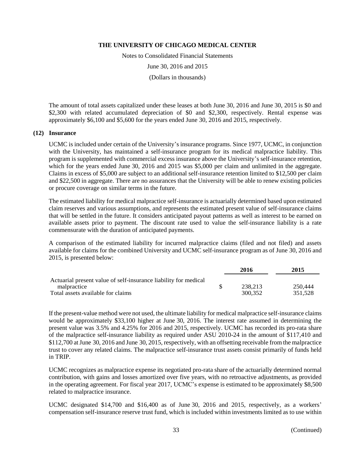Notes to Consolidated Financial Statements

June 30, 2016 and 2015

(Dollars in thousands)

The amount of total assets capitalized under these leases at both June 30, 2016 and June 30, 2015 is \$0 and \$2,300 with related accumulated depreciation of \$0 and \$2,300, respectively. Rental expense was approximately \$6,100 and \$5,600 for the years ended June 30, 2016 and 2015, respectively.

#### **(12) Insurance**

UCMC is included under certain of the University's insurance programs. Since 1977, UCMC, in conjunction with the University, has maintained a self-insurance program for its medical malpractice liability. This program is supplemented with commercial excess insurance above the University's self-insurance retention, which for the years ended June 30, 2016 and 2015 was \$5,000 per claim and unlimited in the aggregate. Claims in excess of \$5,000 are subject to an additional self-insurance retention limited to \$12,500 per claim and \$22,500 in aggregate. There are no assurances that the University will be able to renew existing policies or procure coverage on similar terms in the future.

The estimated liability for medical malpractice self-insurance is actuarially determined based upon estimated claim reserves and various assumptions, and represents the estimated present value of self-insurance claims that will be settled in the future. It considers anticipated payout patterns as well as interest to be earned on available assets prior to payment. The discount rate used to value the self-insurance liability is a rate commensurate with the duration of anticipated payments.

A comparison of the estimated liability for incurred malpractice claims (filed and not filed) and assets available for claims for the combined University and UCMC self-insurance program as of June 30, 2016 and 2015, is presented below:

|                                                                 | 2016    | 2015    |
|-----------------------------------------------------------------|---------|---------|
| Actuarial present value of self-insurance liability for medical |         |         |
| malpractice                                                     | 238.213 | 250,444 |
| Total assets available for claims                               | 300.352 | 351.528 |

If the present-value method were not used, the ultimate liability for medical malpractice self-insurance claims would be approximately \$33,100 higher at June 30, 2016. The interest rate assumed in determining the present value was 3.5% and 4.25% for 2016 and 2015, respectively. UCMC has recorded its pro-rata share of the malpractice self-insurance liability as required under ASU 2010-24 in the amount of \$117,410 and \$112,700 at June 30, 2016 and June 30, 2015, respectively, with an offsetting receivable from the malpractice trust to cover any related claims. The malpractice self-insurance trust assets consist primarily of funds held in TRIP.

UCMC recognizes as malpractice expense its negotiated pro-rata share of the actuarially determined normal contribution, with gains and losses amortized over five years, with no retroactive adjustments, as provided in the operating agreement. For fiscal year 2017, UCMC's expense is estimated to be approximately \$8,500 related to malpractice insurance.

UCMC designated \$14,700 and \$16,400 as of June 30, 2016 and 2015, respectively, as a workers' compensation self-insurance reserve trust fund, which is included within investments limited as to use within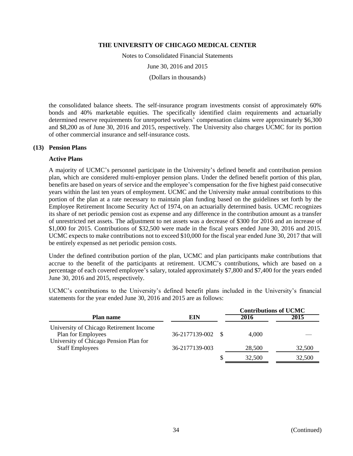Notes to Consolidated Financial Statements

June 30, 2016 and 2015

(Dollars in thousands)

the consolidated balance sheets. The self-insurance program investments consist of approximately 60% bonds and 40% marketable equities. The specifically identified claim requirements and actuarially determined reserve requirements for unreported workers' compensation claims were approximately \$6,300 and \$8,200 as of June 30, 2016 and 2015, respectively. The University also charges UCMC for its portion of other commercial insurance and self-insurance costs.

#### **(13) Pension Plans**

#### **Active Plans**

A majority of UCMC's personnel participate in the University's defined benefit and contribution pension plan, which are considered multi-employer pension plans. Under the defined benefit portion of this plan, benefits are based on years of service and the employee's compensation for the five highest paid consecutive years within the last ten years of employment. UCMC and the University make annual contributions to this portion of the plan at a rate necessary to maintain plan funding based on the guidelines set forth by the Employee Retirement Income Security Act of 1974, on an actuarially determined basis. UCMC recognizes its share of net periodic pension cost as expense and any difference in the contribution amount as a transfer of unrestricted net assets. The adjustment to net assets was a decrease of \$300 for 2016 and an increase of \$1,000 for 2015. Contributions of \$32,500 were made in the fiscal years ended June 30, 2016 and 2015. UCMC expects to make contributions not to exceed \$10,000 for the fiscal year ended June 30, 2017 that will be entirely expensed as net periodic pension costs.

Under the defined contribution portion of the plan, UCMC and plan participants make contributions that accrue to the benefit of the participants at retirement. UCMC's contributions, which are based on a percentage of each covered employee's salary, totaled approximately \$7,800 and \$7,400 for the years ended June 30, 2016 and 2015, respectively.

UCMC's contributions to the University's defined benefit plans included in the University's financial statements for the year ended June 30, 2016 and 2015 are as follows:

|                                                                  |                   | <b>Contributions of UCMC</b> |        |
|------------------------------------------------------------------|-------------------|------------------------------|--------|
| <b>Plan name</b>                                                 | EIN               | 2016                         | 2015   |
| University of Chicago Retirement Income<br>Plan for Employees    | 36-2177139-002 \$ | 4.000                        |        |
| University of Chicago Pension Plan for<br><b>Staff Employees</b> | 36-2177139-003    | 28,500                       | 32,500 |
|                                                                  |                   | 32,500                       | 32,500 |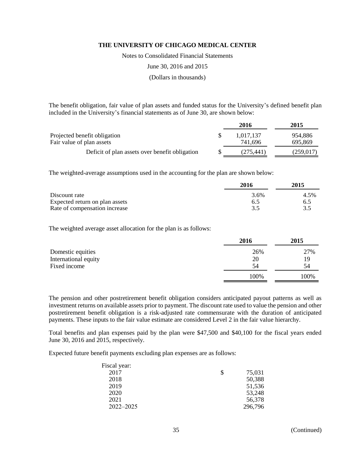Notes to Consolidated Financial Statements

June 30, 2016 and 2015

(Dollars in thousands)

The benefit obligation, fair value of plan assets and funded status for the University's defined benefit plan included in the University's financial statements as of June 30, are shown below:

|                                                | 2016       | 2015       |
|------------------------------------------------|------------|------------|
| Projected benefit obligation                   | 1.017.137  | 954.886    |
| Fair value of plan assets                      | 741.696    | 695,869    |
| Deficit of plan assets over benefit obligation | (275, 441) | (259, 017) |

The weighted-average assumptions used in the accounting for the plan are shown below:

|                                | 2016 | 2015 |
|--------------------------------|------|------|
| Discount rate                  | 3.6% | 4.5% |
| Expected return on plan assets | 6.5  | 6.5  |
| Rate of compensation increase  | 3.5  |      |

The weighted average asset allocation for the plan is as follows:

|                      | 2016 | 2015 |
|----------------------|------|------|
| Domestic equities    | 26%  | 27%  |
| International equity | 20   | 19   |
| Fixed income         | 54   | 54   |
|                      | 100% | 100% |

The pension and other postretirement benefit obligation considers anticipated payout patterns as well as investment returns on available assets prior to payment. The discount rate used to value the pension and other postretirement benefit obligation is a risk-adjusted rate commensurate with the duration of anticipated payments. These inputs to the fair value estimate are considered Level 2 in the fair value hierarchy.

Total benefits and plan expenses paid by the plan were \$47,500 and \$40,100 for the fiscal years ended June 30, 2016 and 2015, respectively.

Expected future benefit payments excluding plan expenses are as follows:

| S | 75,031  |
|---|---------|
|   | 50,388  |
|   | 51,536  |
|   | 53,248  |
|   | 56,378  |
|   | 296,796 |
|   |         |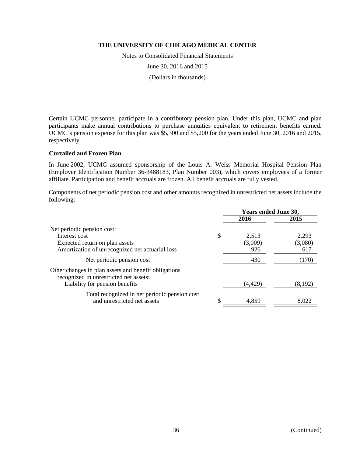Notes to Consolidated Financial Statements June 30, 2016 and 2015 (Dollars in thousands)

Certain UCMC personnel participate in a contributory pension plan. Under this plan, UCMC and plan participants make annual contributions to purchase annuities equivalent to retirement benefits earned. UCMC's pension expense for this plan was \$5,300 and \$5,200 for the years ended June 30, 2016 and 2015, respectively.

#### **Curtailed and Frozen Plan**

In June 2002, UCMC assumed sponsorship of the Louis A. Weiss Memorial Hospital Pension Plan (Employer Identification Number 36-3488183, Plan Number 003), which covers employees of a former affiliate. Participation and benefit accruals are frozen. All benefit accruals are fully vested.

Components of net periodic pension cost and other amounts recognized in unrestricted net assets include the following:

|                                                                                                | <b>Years ended June 30,</b> |          |         |
|------------------------------------------------------------------------------------------------|-----------------------------|----------|---------|
|                                                                                                |                             | 2016     | 2015    |
| Net periodic pension cost:                                                                     |                             |          |         |
| Interest cost                                                                                  | \$                          | 2,513    | 2,293   |
| Expected return on plan assets                                                                 |                             | (3,009)  | (3,080) |
| Amortization of unrecognized net actuarial loss                                                |                             | 926      | 617     |
| Net periodic pension cost                                                                      |                             | 430      | (170)   |
| Other changes in plan assets and benefit obligations<br>recognized in unrestricted net assets: |                             |          |         |
| Liability for pension benefits                                                                 |                             | (4, 429) | (8,192) |
| Total recognized in net periodic pension cost                                                  |                             |          |         |
| and unrestricted net assets                                                                    |                             | 4,859    | 8,022   |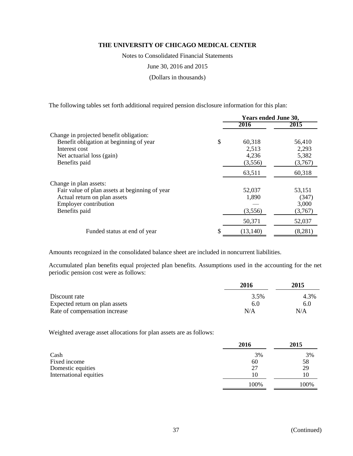Notes to Consolidated Financial Statements

June 30, 2016 and 2015

(Dollars in thousands)

The following tables set forth additional required pension disclosure information for this plan:

|                                                | <b>Years ended June 30,</b> |           |         |
|------------------------------------------------|-----------------------------|-----------|---------|
|                                                |                             | 2016      | 2015    |
| Change in projected benefit obligation:        |                             |           |         |
| Benefit obligation at beginning of year        | \$                          | 60,318    | 56,410  |
| Interest cost                                  |                             | 2,513     | 2,293   |
| Net actuarial loss (gain)                      |                             | 4,236     | 5,382   |
| Benefits paid                                  |                             | (3,556)   | (3,767) |
|                                                |                             | 63,511    | 60,318  |
| Change in plan assets:                         |                             |           |         |
| Fair value of plan assets at beginning of year |                             | 52,037    | 53,151  |
| Actual return on plan assets                   |                             | 1,890     | (347)   |
| <b>Employer contribution</b>                   |                             |           | 3,000   |
| Benefits paid                                  |                             | (3,556)   | (3,767) |
|                                                |                             | 50,371    | 52,037  |
| Funded status at end of year                   |                             | (13, 140) | (8,281) |

Amounts recognized in the consolidated balance sheet are included in noncurrent liabilities.

Accumulated plan benefits equal projected plan benefits. Assumptions used in the accounting for the net periodic pension cost were as follows:

|                                | 2016 | 2015      |
|--------------------------------|------|-----------|
| Discount rate                  | 3.5% | 4.3%      |
| Expected return on plan assets | 6.0  | 6.0       |
| Rate of compensation increase  | N/A  | $\rm N/A$ |

Weighted average asset allocations for plan assets are as follows:

|                        | 2016 | 2015 |
|------------------------|------|------|
| Cash                   | 3%   | 3%   |
| Fixed income           | 60   | 58   |
| Domestic equities      | 27   | 29   |
| International equities | 10   | 10   |
|                        | 100% | 100% |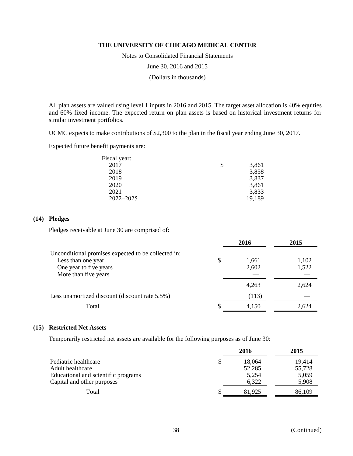Notes to Consolidated Financial Statements

June 30, 2016 and 2015

(Dollars in thousands)

All plan assets are valued using level 1 inputs in 2016 and 2015. The target asset allocation is 40% equities and 60% fixed income. The expected return on plan assets is based on historical investment returns for similar investment portfolios.

UCMC expects to make contributions of \$2,300 to the plan in the fiscal year ending June 30, 2017.

Expected future benefit payments are:

| 3,861  |
|--------|
| 3,858  |
| 3,837  |
| 3,861  |
| 3,833  |
| 19,189 |
|        |

### **(14) Pledges**

Pledges receivable at June 30 are comprised of:

|                                                                                                                             |   | 2016           | 2015           |
|-----------------------------------------------------------------------------------------------------------------------------|---|----------------|----------------|
| Unconditional promises expected to be collected in:<br>Less than one year<br>One year to five years<br>More than five years | S | 1,661<br>2,602 | 1,102<br>1,522 |
|                                                                                                                             |   | 4,263          | 2,624          |
| Less unamortized discount (discount rate 5.5%)                                                                              |   | (113)          |                |
| Total                                                                                                                       |   | 4,150          | 2,624          |

#### **(15) Restricted Net Assets**

Temporarily restricted net assets are available for the following purposes as of June 30:

|                                     |   | 2016   | 2015   |
|-------------------------------------|---|--------|--------|
| Pediatric healthcare                |   | 18,064 | 19,414 |
| Adult healthcare                    |   | 52,285 | 55,728 |
| Educational and scientific programs |   | 5,254  | 5,059  |
| Capital and other purposes          |   | 6.322  | 5,908  |
| Total                               | S | 81.925 | 86,109 |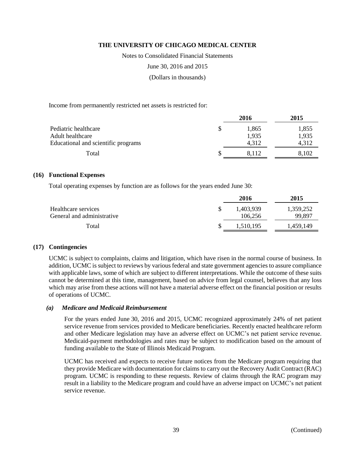Notes to Consolidated Financial Statements

June 30, 2016 and 2015

(Dollars in thousands)

Income from permanently restricted net assets is restricted for:

|                                     | 2016  | 2015  |
|-------------------------------------|-------|-------|
| Pediatric healthcare                | 1.865 | 1,855 |
| Adult healthcare                    | 1,935 | 1,935 |
| Educational and scientific programs | 4,312 | 4.312 |
| Total                               | 8.112 | 8.102 |

#### **(16) Functional Expenses**

Total operating expenses by function are as follows for the years ended June 30:

|                            | 2016      | 2015      |
|----------------------------|-----------|-----------|
| Healthcare services        | 1.403.939 | 1,359,252 |
| General and administrative | 106,256   | 99,897    |
| Total                      | 1,510,195 | 1.459.149 |

### **(17) Contingencies**

UCMC is subject to complaints, claims and litigation, which have risen in the normal course of business. In addition, UCMC is subject to reviews by various federal and state government agencies to assure compliance with applicable laws, some of which are subject to different interpretations. While the outcome of these suits cannot be determined at this time, management, based on advice from legal counsel, believes that any loss which may arise from these actions will not have a material adverse effect on the financial position or results of operations of UCMC.

#### *(a) Medicare and Medicaid Reimbursement*

For the years ended June 30, 2016 and 2015, UCMC recognized approximately 24% of net patient service revenue from services provided to Medicare beneficiaries. Recently enacted healthcare reform and other Medicare legislation may have an adverse effect on UCMC's net patient service revenue. Medicaid-payment methodologies and rates may be subject to modification based on the amount of funding available to the State of Illinois Medicaid Program.

UCMC has received and expects to receive future notices from the Medicare program requiring that they provide Medicare with documentation for claims to carry out the Recovery Audit Contract (RAC) program. UCMC is responding to these requests. Review of claims through the RAC program may result in a liability to the Medicare program and could have an adverse impact on UCMC's net patient service revenue.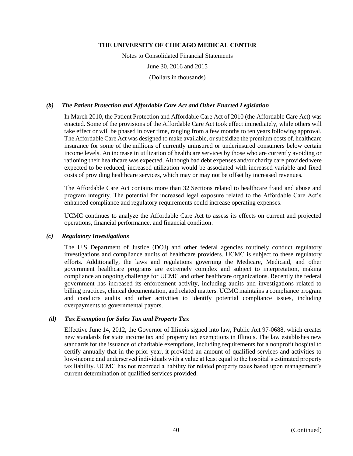Notes to Consolidated Financial Statements June 30, 2016 and 2015 (Dollars in thousands)

### *(b) The Patient Protection and Affordable Care Act and Other Enacted Legislation*

In March 2010, the Patient Protection and Affordable Care Act of 2010 (the Affordable Care Act) was enacted. Some of the provisions of the Affordable Care Act took effect immediately, while others will take effect or will be phased in over time, ranging from a few months to ten years following approval. The Affordable Care Act was designed to make available, or subsidize the premium costs of, healthcare insurance for some of the millions of currently uninsured or underinsured consumers below certain income levels. An increase in utilization of healthcare services by those who are currently avoiding or rationing their healthcare was expected. Although bad debt expenses and/or charity care provided were expected to be reduced, increased utilization would be associated with increased variable and fixed costs of providing healthcare services, which may or may not be offset by increased revenues.

The Affordable Care Act contains more than 32 Sections related to healthcare fraud and abuse and program integrity. The potential for increased legal exposure related to the Affordable Care Act's enhanced compliance and regulatory requirements could increase operating expenses.

UCMC continues to analyze the Affordable Care Act to assess its effects on current and projected operations, financial performance, and financial condition.

#### *(c) Regulatory Investigations*

The U.S. Department of Justice (DOJ) and other federal agencies routinely conduct regulatory investigations and compliance audits of healthcare providers. UCMC is subject to these regulatory efforts. Additionally, the laws and regulations governing the Medicare, Medicaid, and other government healthcare programs are extremely complex and subject to interpretation, making compliance an ongoing challenge for UCMC and other healthcare organizations. Recently the federal government has increased its enforcement activity, including audits and investigations related to billing practices, clinical documentation, and related matters. UCMC maintains a compliance program and conducts audits and other activities to identify potential compliance issues, including overpayments to governmental payors.

## *(d) Tax Exemption for Sales Tax and Property Tax*

Effective June 14, 2012, the Governor of Illinois signed into law, Public Act 97-0688, which creates new standards for state income tax and property tax exemptions in Illinois. The law establishes new standards for the issuance of charitable exemptions, including requirements for a nonprofit hospital to certify annually that in the prior year, it provided an amount of qualified services and activities to low-income and underserved individuals with a value at least equal to the hospital's estimated property tax liability. UCMC has not recorded a liability for related property taxes based upon management's current determination of qualified services provided.